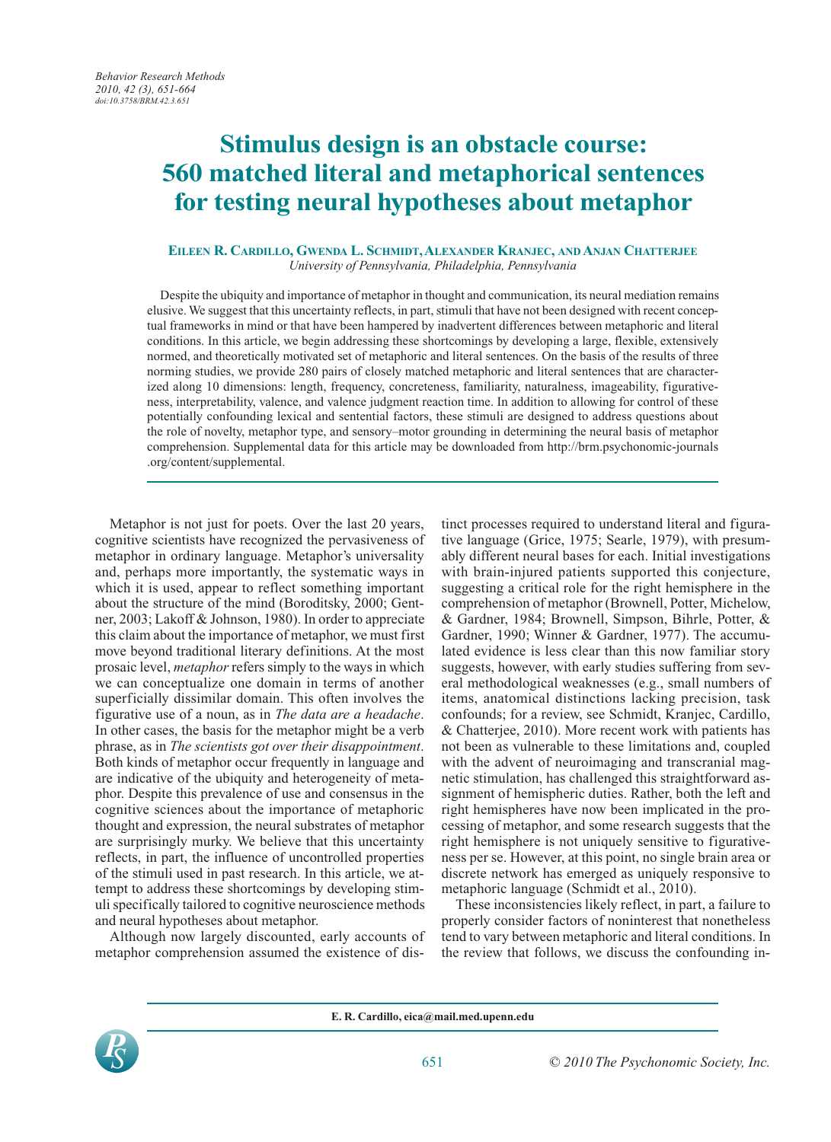# **Stimulus design is an obstacle course: 560 matched literal and metaphorical sentences for testing neural hypotheses about metaphor**

# **EILEEN R. CARDILLO, GWENDA L. SCHMIDT, ALEXANDER KRANJEC, AND ANJAN CHATTERJEE** *University of Pennsylvania, Philadelphia, Pennsylvania*

Despite the ubiquity and importance of metaphor in thought and communication, its neural mediation remains elusive. We suggest that this uncertainty reflects, in part, stimuli that have not been designed with recent conceptual frameworks in mind or that have been hampered by inadvertent differences between metaphoric and literal conditions. In this article, we begin addressing these shortcomings by developing a large, flexible, extensively normed, and theoretically motivated set of metaphoric and literal sentences. On the basis of the results of three norming studies, we provide 280 pairs of closely matched metaphoric and literal sentences that are characterized along 10 dimensions: length, frequency, concreteness, familiarity, naturalness, imageability, figurativeness, interpretability, valence, and valence judgment reaction time. In addition to allowing for control of these potentially confounding lexical and sentential factors, these stimuli are designed to address questions about the role of novelty, metaphor type, and sensory–motor grounding in determining the neural basis of metaphor comprehension. Supplemental data for this article may be downloaded from http://brm.psychonomic-journals .org/content/supplemental.

Metaphor is not just for poets. Over the last 20 years, cognitive scientists have recognized the pervasiveness of metaphor in ordinary language. Metaphor's universality and, perhaps more importantly, the systematic ways in which it is used, appear to reflect something important about the structure of the mind (Boroditsky, 2000; Gentner, 2003; Lakoff & Johnson, 1980). In order to appreciate this claim about the importance of metaphor, we must first move beyond traditional literary definitions. At the most prosaic level, *metaphor* refers simply to the ways in which we can conceptualize one domain in terms of another superficially dissimilar domain. This often involves the figurative use of a noun, as in *The data are a headache*. In other cases, the basis for the metaphor might be a verb phrase, as in *The scientists got over their disappointment*. Both kinds of metaphor occur frequently in language and are indicative of the ubiquity and heterogeneity of metaphor. Despite this prevalence of use and consensus in the cognitive sciences about the importance of metaphoric thought and expression, the neural substrates of metaphor are surprisingly murky. We believe that this uncertainty reflects, in part, the influence of uncontrolled properties of the stimuli used in past research. In this article, we attempt to address these shortcomings by developing stimuli specifically tailored to cognitive neuroscience methods and neural hypotheses about metaphor.

Although now largely discounted, early accounts of metaphor comprehension assumed the existence of dis-

tinct processes required to understand literal and figurative language (Grice, 1975; Searle, 1979), with presumably different neural bases for each. Initial investigations with brain-injured patients supported this conjecture, suggesting a critical role for the right hemisphere in the comprehension of metaphor (Brownell, Potter, Michelow, & Gardner, 1984; Brownell, Simpson, Bihrle, Potter, & Gardner, 1990; Winner & Gardner, 1977). The accumulated evidence is less clear than this now familiar story suggests, however, with early studies suffering from several methodological weaknesses (e.g., small numbers of items, anatomical distinctions lacking precision, task confounds; for a review, see Schmidt, Kranjec, Cardillo, & Chatterjee, 2010). More recent work with patients has not been as vulnerable to these limitations and, coupled with the advent of neuroimaging and transcranial magnetic stimulation, has challenged this straightforward assignment of hemispheric duties. Rather, both the left and right hemispheres have now been implicated in the processing of metaphor, and some research suggests that the right hemisphere is not uniquely sensitive to figurativeness per se. However, at this point, no single brain area or discrete network has emerged as uniquely responsive to metaphoric language (Schmidt et al., 2010).

These inconsistencies likely reflect, in part, a failure to properly consider factors of noninterest that nonetheless tend to vary between metaphoric and literal conditions. In the review that follows, we discuss the confounding in-

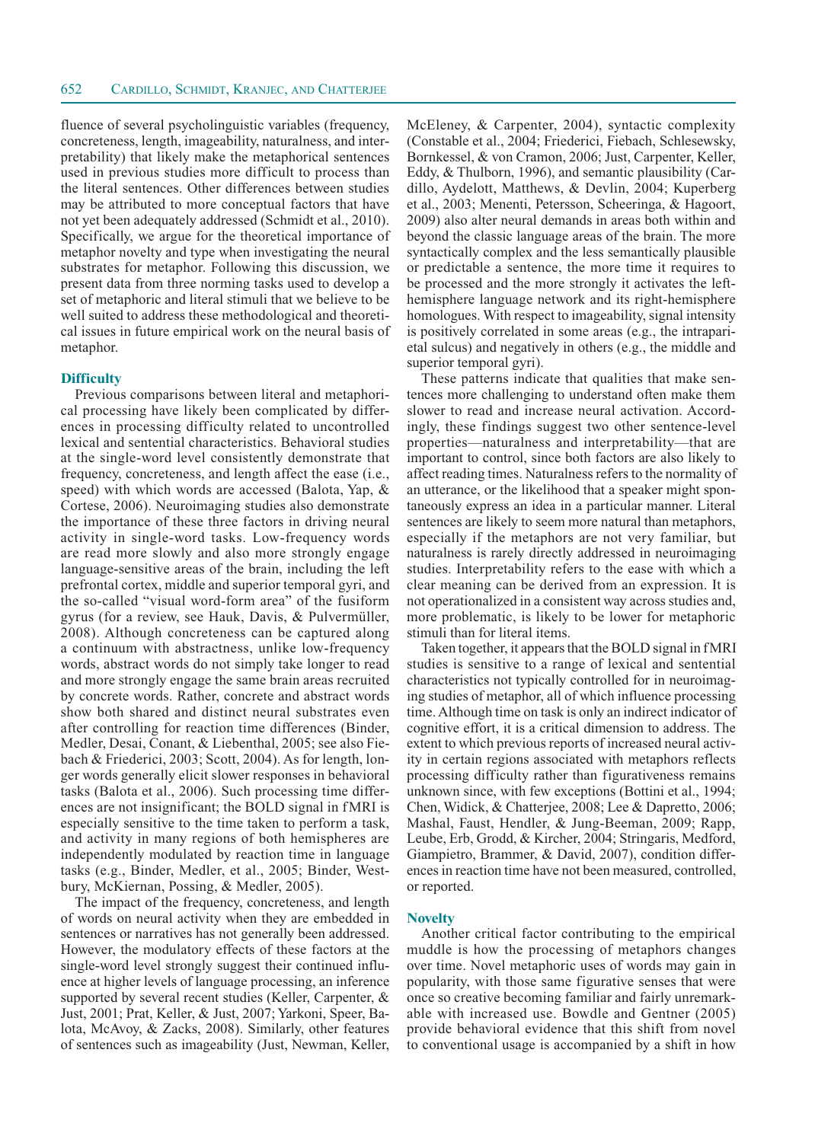fluence of several psycholinguistic variables (frequency, concreteness, length, imageability, naturalness, and interpretability) that likely make the metaphorical sentences used in previous studies more difficult to process than the literal sentences. Other differences between studies may be attributed to more conceptual factors that have not yet been adequately addressed (Schmidt et al., 2010). Specifically, we argue for the theoretical importance of metaphor novelty and type when investigating the neural substrates for metaphor. Following this discussion, we present data from three norming tasks used to develop a set of metaphoric and literal stimuli that we believe to be well suited to address these methodological and theoretical issues in future empirical work on the neural basis of metaphor.

## **Difficulty**

Previous comparisons between literal and metaphorical processing have likely been complicated by differences in processing difficulty related to uncontrolled lexical and sentential characteristics. Behavioral studies at the single-word level consistently demonstrate that frequency, concreteness, and length affect the ease (i.e., speed) with which words are accessed (Balota, Yap, & Cortese, 2006). Neuroimaging studies also demonstrate the importance of these three factors in driving neural activity in single-word tasks. Low-frequency words are read more slowly and also more strongly engage language-sensitive areas of the brain, including the left prefrontal cortex, middle and superior temporal gyri, and the so-called "visual word-form area" of the fusiform gyrus (for a review, see Hauk, Davis, & Pulvermüller, 2008). Although concreteness can be captured along a continuum with abstractness, unlike low-frequency words, abstract words do not simply take longer to read and more strongly engage the same brain areas recruited by concrete words. Rather, concrete and abstract words show both shared and distinct neural substrates even after controlling for reaction time differences (Binder, Medler, Desai, Conant, & Liebenthal, 2005; see also Fiebach & Friederici, 2003; Scott, 2004). As for length, longer words generally elicit slower responses in behavioral tasks (Balota et al., 2006). Such processing time differences are not insignificant; the BOLD signal in fMRI is especially sensitive to the time taken to perform a task, and activity in many regions of both hemispheres are independently modulated by reaction time in language tasks (e.g., Binder, Medler, et al., 2005; Binder, Westbury, McKiernan, Possing, & Medler, 2005).

The impact of the frequency, concreteness, and length of words on neural activity when they are embedded in sentences or narratives has not generally been addressed. However, the modulatory effects of these factors at the single-word level strongly suggest their continued influence at higher levels of language processing, an inference supported by several recent studies (Keller, Carpenter, & Just, 2001; Prat, Keller, & Just, 2007; Yarkoni, Speer, Balota, McAvoy, & Zacks, 2008). Similarly, other features of sentences such as imageability (Just, Newman, Keller,

McEleney, & Carpenter, 2004), syntactic complexity (Constable et al., 2004; Friederici, Fiebach, Schlesewsky, Bornkessel, & von Cramon, 2006; Just, Carpenter, Keller, Eddy, & Thulborn, 1996), and semantic plausibility (Cardillo, Aydelott, Matthews, & Devlin, 2004; Kuperberg et al., 2003; Menenti, Petersson, Scheeringa, & Hagoort, 2009) also alter neural demands in areas both within and beyond the classic language areas of the brain. The more syntactically complex and the less semantically plausible or predictable a sentence, the more time it requires to be processed and the more strongly it activates the lefthemisphere language network and its right-hemisphere homologues. With respect to imageability, signal intensity is positively correlated in some areas (e.g., the intraparietal sulcus) and negatively in others (e.g., the middle and superior temporal gyri).

These patterns indicate that qualities that make sentences more challenging to understand often make them slower to read and increase neural activation. Accordingly, these findings suggest two other sentence-level properties—naturalness and interpretability—that are important to control, since both factors are also likely to affect reading times. Naturalness refers to the normality of an utterance, or the likelihood that a speaker might spontaneously express an idea in a particular manner. Literal sentences are likely to seem more natural than metaphors, especially if the metaphors are not very familiar, but naturalness is rarely directly addressed in neuroimaging studies. Interpretability refers to the ease with which a clear meaning can be derived from an expression. It is not operationalized in a consistent way across studies and, more problematic, is likely to be lower for metaphoric stimuli than for literal items.

Taken together, it appears that the BOLD signal in fMRI studies is sensitive to a range of lexical and sentential characteristics not typically controlled for in neuroimaging studies of metaphor, all of which influence processing time. Although time on task is only an indirect indicator of cognitive effort, it is a critical dimension to address. The extent to which previous reports of increased neural activity in certain regions associated with metaphors reflects processing difficulty rather than figurativeness remains unknown since, with few exceptions (Bottini et al., 1994; Chen, Widick, & Chatterjee, 2008; Lee & Dapretto, 2006; Mashal, Faust, Hendler, & Jung-Beeman, 2009; Rapp, Leube, Erb, Grodd, & Kircher, 2004; Stringaris, Medford, Giampietro, Brammer, & David, 2007), condition differences in reaction time have not been measured, controlled, or reported.

## **Novelty**

Another critical factor contributing to the empirical muddle is how the processing of metaphors changes over time. Novel metaphoric uses of words may gain in popularity, with those same figurative senses that were once so creative becoming familiar and fairly unremarkable with increased use. Bowdle and Gentner (2005) provide behavioral evidence that this shift from novel to conventional usage is accompanied by a shift in how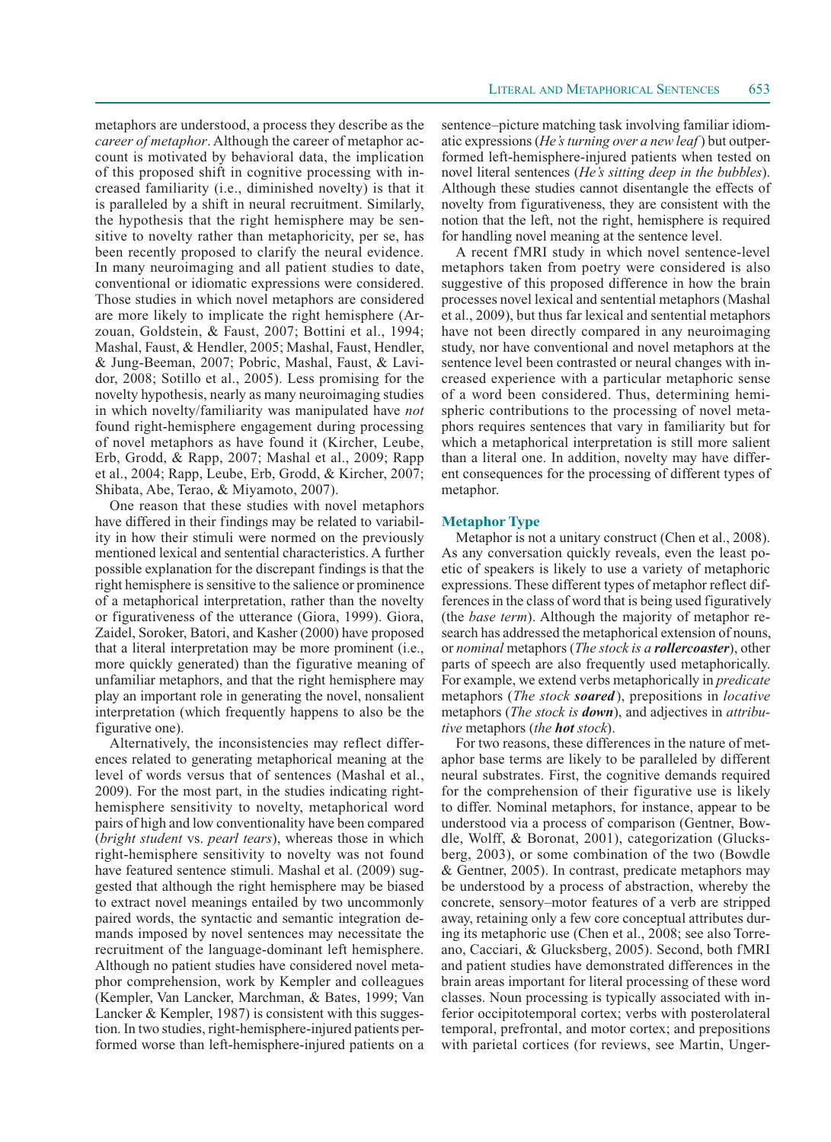metaphors are understood, a process they describe as the *career of metaphor*. Although the career of metaphor account is motivated by behavioral data, the implication of this proposed shift in cognitive processing with increased familiarity (i.e., diminished novelty) is that it is paralleled by a shift in neural recruitment. Similarly, the hypothesis that the right hemisphere may be sensitive to novelty rather than metaphoricity, per se, has been recently proposed to clarify the neural evidence. In many neuroimaging and all patient studies to date, conventional or idiomatic expressions were considered. Those studies in which novel metaphors are considered are more likely to implicate the right hemisphere (Arzouan, Goldstein, & Faust, 2007; Bottini et al., 1994; Mashal, Faust, & Hendler, 2005; Mashal, Faust, Hendler, & Jung-Beeman, 2007; Pobric, Mashal, Faust, & Lavidor, 2008; Sotillo et al., 2005). Less promising for the novelty hypothesis, nearly as many neuroimaging studies in which novelty/familiarity was manipulated have *not* found right-hemisphere engagement during processing of novel metaphors as have found it (Kircher, Leube, Erb, Grodd, & Rapp, 2007; Mashal et al., 2009; Rapp et al., 2004; Rapp, Leube, Erb, Grodd, & Kircher, 2007; Shibata, Abe, Terao, & Miyamoto, 2007).

One reason that these studies with novel metaphors have differed in their findings may be related to variability in how their stimuli were normed on the previously mentioned lexical and sentential characteristics. A further possible explanation for the discrepant findings is that the right hemisphere is sensitive to the salience or prominence of a metaphorical interpretation, rather than the novelty or figurativeness of the utterance (Giora, 1999). Giora, Zaidel, Soroker, Batori, and Kasher (2000) have proposed that a literal interpretation may be more prominent (i.e., more quickly generated) than the figurative meaning of unfamiliar metaphors, and that the right hemisphere may play an important role in generating the novel, nonsalient interpretation (which frequently happens to also be the figurative one).

Alternatively, the inconsistencies may reflect differences related to generating metaphorical meaning at the level of words versus that of sentences (Mashal et al., 2009). For the most part, in the studies indicating righthemisphere sensitivity to novelty, metaphorical word pairs of high and low conventionality have been compared (*bright student* vs. *pearl tears*), whereas those in which right-hemisphere sensitivity to novelty was not found have featured sentence stimuli. Mashal et al. (2009) suggested that although the right hemisphere may be biased to extract novel meanings entailed by two uncommonly paired words, the syntactic and semantic integration demands imposed by novel sentences may necessitate the recruitment of the language-dominant left hemisphere. Although no patient studies have considered novel metaphor comprehension, work by Kempler and colleagues (Kempler, Van Lancker, Marchman, & Bates, 1999; Van Lancker & Kempler, 1987) is consistent with this suggestion. In two studies, right-hemisphere-injured patients performed worse than left-hemisphere-injured patients on a

sentence–picture matching task involving familiar idiomatic expressions (*He's turning over a new leaf* ) but outperformed left-hemisphere-injured patients when tested on novel literal sentences (*He's sitting deep in the bubbles*). Although these studies cannot disentangle the effects of novelty from figurativeness, they are consistent with the notion that the left, not the right, hemisphere is required for handling novel meaning at the sentence level.

A recent fMRI study in which novel sentence-level metaphors taken from poetry were considered is also suggestive of this proposed difference in how the brain processes novel lexical and sentential metaphors (Mashal et al., 2009), but thus far lexical and sentential metaphors have not been directly compared in any neuroimaging study, nor have conventional and novel metaphors at the sentence level been contrasted or neural changes with increased experience with a particular metaphoric sense of a word been considered. Thus, determining hemispheric contributions to the processing of novel metaphors requires sentences that vary in familiarity but for which a metaphorical interpretation is still more salient than a literal one. In addition, novelty may have different consequences for the processing of different types of metaphor.

## **Metaphor Type**

Metaphor is not a unitary construct (Chen et al., 2008). As any conversation quickly reveals, even the least poetic of speakers is likely to use a variety of metaphoric expressions. These different types of metaphor reflect differences in the class of word that is being used figuratively (the *base term*). Although the majority of metaphor research has addressed the metaphorical extension of nouns, or *nominal* metaphors (*The stock is a rollercoaster*), other parts of speech are also frequently used metaphorically. For example, we extend verbs metaphorically in *predicate* metaphors (*The stock soared*), prepositions in *locative* metaphors (*The stock is down*), and adjectives in *attributive* metaphors (*the hot stock*).

For two reasons, these differences in the nature of metaphor base terms are likely to be paralleled by different neural substrates. First, the cognitive demands required for the comprehension of their figurative use is likely to differ. Nominal metaphors, for instance, appear to be understood via a process of comparison (Gentner, Bowdle, Wolff, & Boronat, 2001), categorization (Glucksberg, 2003), or some combination of the two (Bowdle & Gentner, 2005). In contrast, predicate metaphors may be understood by a process of abstraction, whereby the concrete, sensory–motor features of a verb are stripped away, retaining only a few core conceptual attributes during its metaphoric use (Chen et al., 2008; see also Torreano, Cacciari, & Glucksberg, 2005). Second, both fMRI and patient studies have demonstrated differences in the brain areas important for literal processing of these word classes. Noun processing is typically associated with inferior occipitotemporal cortex; verbs with posterolateral temporal, prefrontal, and motor cortex; and prepositions with parietal cortices (for reviews, see Martin, Unger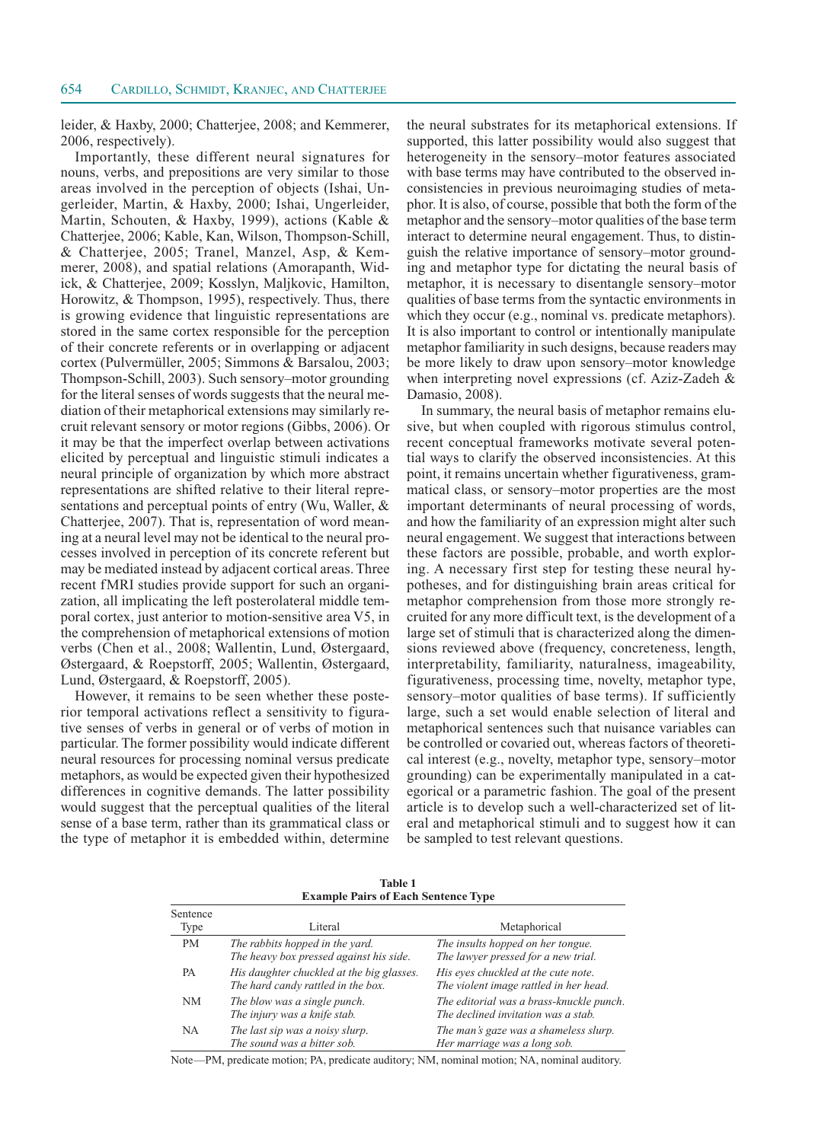leider, & Haxby, 2000; Chatterjee, 2008; and Kemmerer, 2006, respectively).

Importantly, these different neural signatures for nouns, verbs, and prepositions are very similar to those areas involved in the perception of objects (Ishai, Ungerleider, Martin, & Haxby, 2000; Ishai, Ungerleider, Martin, Schouten, & Haxby, 1999), actions (Kable & Chatterjee, 2006; Kable, Kan, Wilson, Thompson-Schill, & Chatterjee, 2005; Tranel, Manzel, Asp, & Kemmerer, 2008), and spatial relations (Amorapanth, Widick, & Chatterjee, 2009; Kosslyn, Maljkovic, Hamilton, Horowitz, & Thompson, 1995), respectively. Thus, there is growing evidence that linguistic representations are stored in the same cortex responsible for the perception of their concrete referents or in overlapping or adjacent cortex (Pulvermüller, 2005; Simmons & Barsalou, 2003; Thompson-Schill, 2003). Such sensory–motor grounding for the literal senses of words suggests that the neural mediation of their metaphorical extensions may similarly recruit relevant sensory or motor regions (Gibbs, 2006). Or it may be that the imperfect overlap between activations elicited by perceptual and linguistic stimuli indicates a neural principle of organization by which more abstract representations are shifted relative to their literal representations and perceptual points of entry (Wu, Waller, & Chatterjee, 2007). That is, representation of word meaning at a neural level may not be identical to the neural processes involved in perception of its concrete referent but may be mediated instead by adjacent cortical areas. Three recent fMRI studies provide support for such an organization, all implicating the left posterolateral middle temporal cortex, just anterior to motion-sensitive area V5, in the comprehension of metaphorical extensions of motion verbs (Chen et al., 2008; Wallentin, Lund, Østergaard, Østergaard, & Roepstorff, 2005; Wallentin, Østergaard, Lund, Østergaard, & Roepstorff, 2005).

However, it remains to be seen whether these posterior temporal activations reflect a sensitivity to figurative senses of verbs in general or of verbs of motion in particular. The former possibility would indicate different neural resources for processing nominal versus predicate metaphors, as would be expected given their hypothesized differences in cognitive demands. The latter possibility would suggest that the perceptual qualities of the literal sense of a base term, rather than its grammatical class or the type of metaphor it is embedded within, determine

the neural substrates for its metaphorical extensions. If supported, this latter possibility would also suggest that heterogeneity in the sensory–motor features associated with base terms may have contributed to the observed inconsistencies in previous neuroimaging studies of metaphor. It is also, of course, possible that both the form of the metaphor and the sensory–motor qualities of the base term interact to determine neural engagement. Thus, to distinguish the relative importance of sensory–motor grounding and metaphor type for dictating the neural basis of metaphor, it is necessary to disentangle sensory–motor qualities of base terms from the syntactic environments in which they occur (e.g., nominal vs. predicate metaphors). It is also important to control or intentionally manipulate metaphor familiarity in such designs, because readers may be more likely to draw upon sensory–motor knowledge when interpreting novel expressions (cf. Aziz-Zadeh & Damasio, 2008).

In summary, the neural basis of metaphor remains elusive, but when coupled with rigorous stimulus control, recent conceptual frameworks motivate several potential ways to clarify the observed inconsistencies. At this point, it remains uncertain whether figurativeness, grammatical class, or sensory–motor properties are the most important determinants of neural processing of words, and how the familiarity of an expression might alter such neural engagement. We suggest that interactions between these factors are possible, probable, and worth exploring. A necessary first step for testing these neural hypotheses, and for distinguishing brain areas critical for metaphor comprehension from those more strongly recruited for any more difficult text, is the development of a large set of stimuli that is characterized along the dimensions reviewed above (frequency, concreteness, length, interpretability, familiarity, naturalness, imageability, figurativeness, processing time, novelty, metaphor type, sensory–motor qualities of base terms). If sufficiently large, such a set would enable selection of literal and metaphorical sentences such that nuisance variables can be controlled or covaried out, whereas factors of theoretical interest (e.g., novelty, metaphor type, sensory–motor grounding) can be experimentally manipulated in a categorical or a parametric fashion. The goal of the present article is to develop such a well-characterized set of literal and metaphorical stimuli and to suggest how it can be sampled to test relevant questions.

**Table 1 Example Pairs of Each Sentence Type**

| Sentence<br>Type | Literal                                                                         | Metaphorical                                                                    |
|------------------|---------------------------------------------------------------------------------|---------------------------------------------------------------------------------|
| <b>PM</b>        | The rabbits hopped in the vard.<br>The heavy box pressed against his side.      | The insults hopped on her tongue.<br>The lawyer pressed for a new trial.        |
| PA               | His daughter chuckled at the big glasses.<br>The hard candy rattled in the box. | His eyes chuckled at the cute note.<br>The violent image rattled in her head.   |
| NM               | The blow was a single punch.<br>The injury was a knife stab.                    | The editorial was a brass-knuckle punch.<br>The declined invitation was a stab. |
| NA.              | The last sip was a noisy slurp.<br>The sound was a bitter sob.                  | The man's gaze was a shameless slurp.<br>Her marriage was a long sob.           |

Note—PM, predicate motion; PA, predicate auditory; NM, nominal motion; NA, nominal auditory.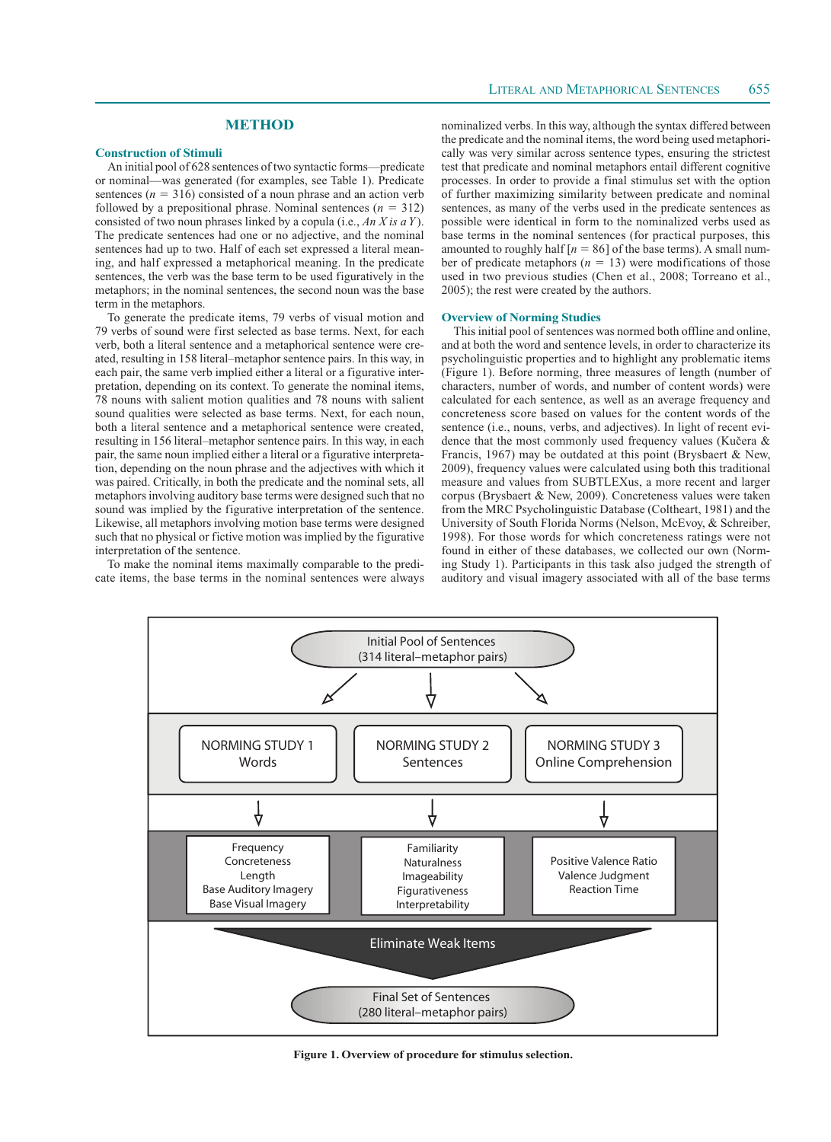## **METHOD**

#### **Construction of Stimuli**

An initial pool of 628 sentences of two syntactic forms—predicate or nominal—was generated (for examples, see Table 1). Predicate sentences  $(n = 316)$  consisted of a noun phrase and an action verb followed by a prepositional phrase. Nominal sentences  $(n = 312)$ consisted of two noun phrases linked by a copula (i.e., *An X is aY* ). The predicate sentences had one or no adjective, and the nominal sentences had up to two. Half of each set expressed a literal meaning, and half expressed a metaphorical meaning. In the predicate sentences, the verb was the base term to be used figuratively in the metaphors; in the nominal sentences, the second noun was the base term in the metaphors.

To generate the predicate items, 79 verbs of visual motion and 79 verbs of sound were first selected as base terms. Next, for each verb, both a literal sentence and a metaphorical sentence were created, resulting in 158 literal–metaphor sentence pairs. In this way, in each pair, the same verb implied either a literal or a figurative interpretation, depending on its context. To generate the nominal items, 78 nouns with salient motion qualities and 78 nouns with salient sound qualities were selected as base terms. Next, for each noun, both a literal sentence and a metaphorical sentence were created, resulting in 156 literal–metaphor sentence pairs. In this way, in each pair, the same noun implied either a literal or a figurative interpretation, depending on the noun phrase and the adjectives with which it was paired. Critically, in both the predicate and the nominal sets, all metaphors involving auditory base terms were designed such that no sound was implied by the figurative interpretation of the sentence. Likewise, all metaphors involving motion base terms were designed such that no physical or fictive motion was implied by the figurative interpretation of the sentence.

To make the nominal items maximally comparable to the predicate items, the base terms in the nominal sentences were always nominalized verbs. In this way, although the syntax differed between the predicate and the nominal items, the word being used metaphorically was very similar across sentence types, ensuring the strictest test that predicate and nominal metaphors entail different cognitive processes. In order to provide a final stimulus set with the option of further maximizing similarity between predicate and nominal sentences, as many of the verbs used in the predicate sentences as possible were identical in form to the nominalized verbs used as base terms in the nominal sentences (for practical purposes, this amounted to roughly half  $[n = 86]$  of the base terms). A small number of predicate metaphors  $(n = 13)$  were modifications of those used in two previous studies (Chen et al., 2008; Torreano et al., 2005); the rest were created by the authors.

## **Overview of Norming Studies**

This initial pool of sentences was normed both offline and online, and at both the word and sentence levels, in order to characterize its psycholinguistic properties and to highlight any problematic items (Figure 1). Before norming, three measures of length (number of characters, number of words, and number of content words) were calculated for each sentence, as well as an average frequency and concreteness score based on values for the content words of the sentence (i.e., nouns, verbs, and adjectives). In light of recent evidence that the most commonly used frequency values (Kučera  $\&$ Francis, 1967) may be outdated at this point (Brysbaert & New, 2009), frequency values were calculated using both this traditional measure and values from SUBTLEXus, a more recent and larger corpus (Brysbaert & New, 2009). Concreteness values were taken from the MRC Psycholinguistic Database (Coltheart, 1981) and the University of South Florida Norms (Nelson, McEvoy, & Schreiber, 1998). For those words for which concreteness ratings were not found in either of these databases, we collected our own (Norming Study 1). Participants in this task also judged the strength of auditory and visual imagery associated with all of the base terms



**Figure 1. Overview of procedure for stimulus selection.**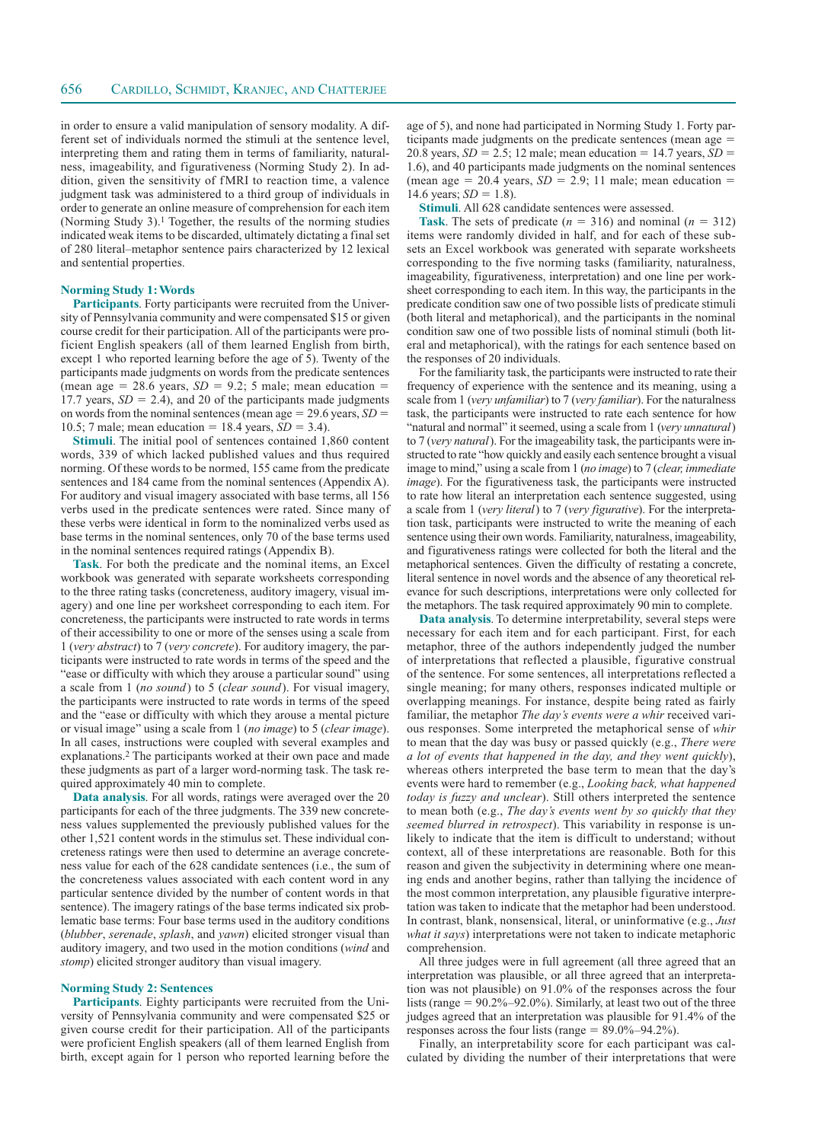in order to ensure a valid manipulation of sensory modality. A different set of individuals normed the stimuli at the sentence level, interpreting them and rating them in terms of familiarity, naturalness, imageability, and figurativeness (Norming Study 2). In addition, given the sensitivity of fMRI to reaction time, a valence judgment task was administered to a third group of individuals in order to generate an online measure of comprehension for each item (Norming Study 3).1 Together, the results of the norming studies indicated weak items to be discarded, ultimately dictating a final set of 280 literal–metaphor sentence pairs characterized by 12 lexical and sentential properties.

## **Norming Study 1: Words**

**Participants**. Forty participants were recruited from the University of Pennsylvania community and were compensated \$15 or given course credit for their participation. All of the participants were proficient English speakers (all of them learned English from birth, except 1 who reported learning before the age of 5). Twenty of the participants made judgments on words from the predicate sentences (mean age  $= 28.6$  years,  $SD = 9.2$ ; 5 male; mean education  $=$ 17.7 years,  $SD = 2.4$ ), and 20 of the participants made judgments on words from the nominal sentences (mean age  $= 29.6$  years,  $SD =$ 10.5; 7 male; mean education  $= 18.4$  years, *SD*  $= 3.4$ ).

**Stimuli**. The initial pool of sentences contained 1,860 content words, 339 of which lacked published values and thus required norming. Of these words to be normed, 155 came from the predicate sentences and 184 came from the nominal sentences (Appendix A). For auditory and visual imagery associated with base terms, all 156 verbs used in the predicate sentences were rated. Since many of these verbs were identical in form to the nominalized verbs used as base terms in the nominal sentences, only 70 of the base terms used in the nominal sentences required ratings (Appendix B).

**Task**. For both the predicate and the nominal items, an Excel workbook was generated with separate worksheets corresponding to the three rating tasks (concreteness, auditory imagery, visual imagery) and one line per worksheet corresponding to each item. For concreteness, the participants were instructed to rate words in terms of their accessibility to one or more of the senses using a scale from 1 (*very abstract*) to 7 (*very concrete*). For auditory imagery, the participants were instructed to rate words in terms of the speed and the "ease or difficulty with which they arouse a particular sound" using a scale from 1 (*no sound*) to 5 (*clear sound*). For visual imagery, the participants were instructed to rate words in terms of the speed and the "ease or difficulty with which they arouse a mental picture or visual image" using a scale from 1 (*no image*) to 5 (*clear image*). In all cases, instructions were coupled with several examples and explanations.2 The participants worked at their own pace and made these judgments as part of a larger word-norming task. The task required approximately 40 min to complete.

**Data analysis**. For all words, ratings were averaged over the 20 participants for each of the three judgments. The 339 new concreteness values supplemented the previously published values for the other 1,521 content words in the stimulus set. These individual concreteness ratings were then used to determine an average concreteness value for each of the 628 candidate sentences (i.e., the sum of the concreteness values associated with each content word in any particular sentence divided by the number of content words in that sentence). The imagery ratings of the base terms indicated six problematic base terms: Four base terms used in the auditory conditions (*blubber*, *serenade*, *splash*, and *yawn*) elicited stronger visual than auditory imagery, and two used in the motion conditions (*wind* and *stomp*) elicited stronger auditory than visual imagery.

## **Norming Study 2: Sentences**

**Participants**. Eighty participants were recruited from the University of Pennsylvania community and were compensated \$25 or given course credit for their participation. All of the participants were proficient English speakers (all of them learned English from birth, except again for 1 person who reported learning before the age of 5), and none had participated in Norming Study 1. Forty participants made judgments on the predicate sentences (mean age 20.8 years,  $SD = 2.5$ ; 12 male; mean education = 14.7 years,  $SD =$ 1.6), and 40 participants made judgments on the nominal sentences (mean age  $= 20.4$  years,  $SD = 2.9$ ; 11 male; mean education  $=$ 14.6 years;  $SD = 1.8$ ).

**Stimuli**. All 628 candidate sentences were assessed.

**Task**. The sets of predicate  $(n = 316)$  and nominal  $(n = 312)$ items were randomly divided in half, and for each of these subsets an Excel workbook was generated with separate worksheets corresponding to the five norming tasks (familiarity, naturalness, imageability, figurativeness, interpretation) and one line per worksheet corresponding to each item. In this way, the participants in the predicate condition saw one of two possible lists of predicate stimuli (both literal and metaphorical), and the participants in the nominal condition saw one of two possible lists of nominal stimuli (both literal and metaphorical), with the ratings for each sentence based on the responses of 20 individuals.

For the familiarity task, the participants were instructed to rate their frequency of experience with the sentence and its meaning, using a scale from 1 (*very unfamiliar*) to 7 (*very familiar*). For the naturalness task, the participants were instructed to rate each sentence for how "natural and normal" it seemed, using a scale from 1 (*very unnatural*) to 7 (*very natural*). For the imageability task, the participants were instructed to rate "how quickly and easily each sentence brought a visual image to mind," using a scale from 1 (*no image*) to 7 (*clear, immediate image*). For the figurativeness task, the participants were instructed to rate how literal an interpretation each sentence suggested, using a scale from 1 (*very literal*) to 7 (*very figurative*). For the interpretation task, participants were instructed to write the meaning of each sentence using their own words. Familiarity, naturalness, imageability, and figurativeness ratings were collected for both the literal and the metaphorical sentences. Given the difficulty of restating a concrete, literal sentence in novel words and the absence of any theoretical relevance for such descriptions, interpretations were only collected for the metaphors. The task required approximately 90 min to complete.

**Data analysis**. To determine interpretability, several steps were necessary for each item and for each participant. First, for each metaphor, three of the authors independently judged the number of interpretations that reflected a plausible, figurative construal of the sentence. For some sentences, all interpretations reflected a single meaning; for many others, responses indicated multiple or overlapping meanings. For instance, despite being rated as fairly familiar, the metaphor *The day's events were a whir* received various responses. Some interpreted the metaphorical sense of *whir* to mean that the day was busy or passed quickly (e.g., *There were a lot of events that happened in the day, and they went quickly*), whereas others interpreted the base term to mean that the day's events were hard to remember (e.g., *Looking back, what happened today is fuzzy and unclear*). Still others interpreted the sentence to mean both (e.g., *The day's events went by so quickly that they seemed blurred in retrospect*). This variability in response is unlikely to indicate that the item is difficult to understand; without context, all of these interpretations are reasonable. Both for this reason and given the subjectivity in determining where one meaning ends and another begins, rather than tallying the incidence of the most common interpretation, any plausible figurative interpretation was taken to indicate that the metaphor had been understood. In contrast, blank, nonsensical, literal, or uninformative (e.g., *Just what it says*) interpretations were not taken to indicate metaphoric comprehension.

All three judges were in full agreement (all three agreed that an interpretation was plausible, or all three agreed that an interpretation was not plausible) on 91.0% of the responses across the four lists (range  $= 90.2\% - 92.0\%$ ). Similarly, at least two out of the three judges agreed that an interpretation was plausible for 91.4% of the responses across the four lists (range  $= 89.0\% - 94.2\%$ ).

Finally, an interpretability score for each participant was calculated by dividing the number of their interpretations that were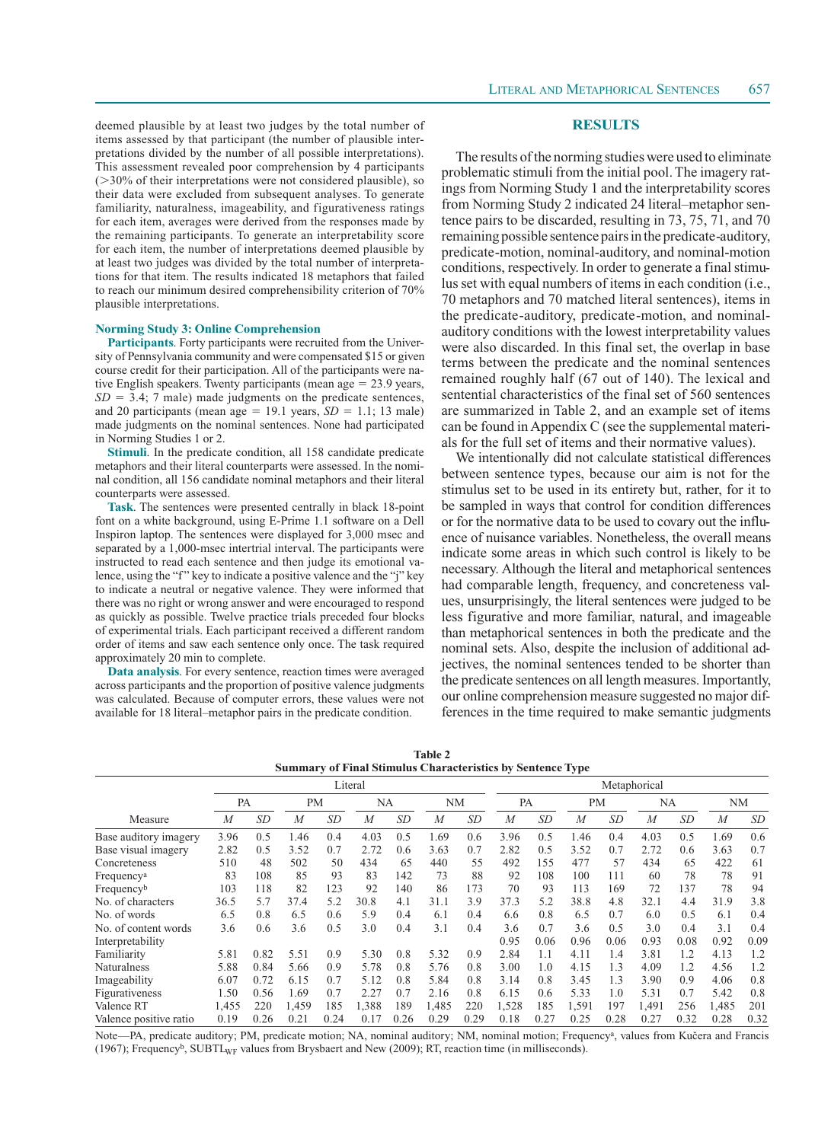deemed plausible by at least two judges by the total number of items assessed by that participant (the number of plausible interpretations divided by the number of all possible interpretations). This assessment revealed poor comprehension by 4 participants (>30% of their interpretations were not considered plausible), so their data were excluded from subsequent analyses. To generate familiarity, naturalness, imageability, and figurativeness ratings for each item, averages were derived from the responses made by the remaining participants. To generate an interpretability score for each item, the number of interpretations deemed plausible by at least two judges was divided by the total number of interpretations for that item. The results indicated 18 metaphors that failed to reach our minimum desired comprehensibility criterion of 70% plausible interpretations.

#### **Norming Study 3: Online Comprehension**

**Participants**. Forty participants were recruited from the University of Pennsylvania community and were compensated \$15 or given course credit for their participation. All of the participants were native English speakers. Twenty participants (mean age  $= 23.9$  years,  $SD = 3.4$ ; 7 male) made judgments on the predicate sentences, and 20 participants (mean age  $= 19.1$  years,  $SD = 1.1$ ; 13 male) made judgments on the nominal sentences. None had participated in Norming Studies 1 or 2.

**Stimuli**. In the predicate condition, all 158 candidate predicate metaphors and their literal counterparts were assessed. In the nominal condition, all 156 candidate nominal metaphors and their literal counterparts were assessed.

**Task**. The sentences were presented centrally in black 18-point font on a white background, using E-Prime 1.1 software on a Dell Inspiron laptop. The sentences were displayed for 3,000 msec and separated by a 1,000-msec intertrial interval. The participants were instructed to read each sentence and then judge its emotional valence, using the "f" key to indicate a positive valence and the "j" key to indicate a neutral or negative valence. They were informed that there was no right or wrong answer and were encouraged to respond as quickly as possible. Twelve practice trials preceded four blocks of experimental trials. Each participant received a different random order of items and saw each sentence only once. The task required approximately 20 min to complete.

**Data analysis**. For every sentence, reaction times were averaged across participants and the proportion of positive valence judgments was calculated. Because of computer errors, these values were not available for 18 literal–metaphor pairs in the predicate condition.

#### **RESULTS**

The results of the norming studies were used to eliminate problematic stimuli from the initial pool. The imagery ratings from Norming Study 1 and the interpretability scores from Norming Study 2 indicated 24 literal–metaphor sentence pairs to be discarded, resulting in 73, 75, 71, and 70 remaining possible sentence pairs in the predicate-auditory, predicate-motion, nominal-auditory, and nominal-motion conditions, respectively. In order to generate a final stimulus set with equal numbers of items in each condition (i.e., 70 metaphors and 70 matched literal sentences), items in the predicate-auditory, predicate-motion, and nominalauditory conditions with the lowest interpretability values were also discarded. In this final set, the overlap in base terms between the predicate and the nominal sentences remained roughly half (67 out of 140). The lexical and sentential characteristics of the final set of 560 sentences are summarized in Table 2, and an example set of items can be found in Appendix C (see the supplemental materials for the full set of items and their normative values).

We intentionally did not calculate statistical differences between sentence types, because our aim is not for the stimulus set to be used in its entirety but, rather, for it to be sampled in ways that control for condition differences or for the normative data to be used to covary out the influence of nuisance variables. Nonetheless, the overall means indicate some areas in which such control is likely to be necessary. Although the literal and metaphorical sentences had comparable length, frequency, and concreteness values, unsurprisingly, the literal sentences were judged to be less figurative and more familiar, natural, and imageable than metaphorical sentences in both the predicate and the nominal sets. Also, despite the inclusion of additional adjectives, the nominal sentences tended to be shorter than the predicate sentences on all length measures. Importantly, our online comprehension measure suggested no major differences in the time required to make semantic judgments

| <b>Table 2</b>                                                    |
|-------------------------------------------------------------------|
| <b>Summary of Final Stimulus Characteristics by Sentence Type</b> |

|                        |       |      |           |      | Literal |      |       |      |       |      |           |      | Metaphorical   |      |                |      |
|------------------------|-------|------|-----------|------|---------|------|-------|------|-------|------|-----------|------|----------------|------|----------------|------|
|                        | PA    |      | <b>PM</b> |      | NA      |      | NM    |      | PA    |      | <b>PM</b> |      | NA             |      | NΜ             |      |
| Measure                | М     | SD   | M         | SD   | M       | SD   | M     | SD   | M     | SD   | M         | SD   | $\overline{M}$ | SD   | $\overline{M}$ | SD   |
| Base auditory imagery  | 3.96  | 0.5  | 1.46      | 0.4  | 4.03    | 0.5  | 1.69  | 0.6  | 3.96  | 0.5  | 1.46      | 0.4  | 4.03           | 0.5  | 1.69           | 0.6  |
| Base visual imagery    | 2.82  | 0.5  | 3.52      | 0.7  | 2.72    | 0.6  | 3.63  | 0.7  | 2.82  | 0.5  | 3.52      | 0.7  | 2.72           | 0.6  | 3.63           | 0.7  |
| Concreteness           | 510   | 48   | 502       | 50   | 434     | 65   | 440   | 55   | 492   | 155  | 477       | 57   | 434            | 65   | 422            | 61   |
| Frequency <sup>a</sup> | 83    | 108  | 85        | 93   | 83      | 142  | 73    | 88   | 92    | 108  | 100       | 111  | 60             | 78   | 78             | 91   |
| Frequencyb             | 103   | 118  | 82        | 123  | 92      | 140  | 86    | 173  | 70    | 93   | 113       | 169  | 72             | 137  | 78             | 94   |
| No. of characters      | 36.5  | 5.7  | 37.4      | 5.2  | 30.8    | 4.1  | 31.1  | 3.9  | 37.3  | 5.2  | 38.8      | 4.8  | 32.1           | 4.4  | 31.9           | 3.8  |
| No. of words           | 6.5   | 0.8  | 6.5       | 0.6  | 5.9     | 0.4  | 6.1   | 0.4  | 6.6   | 0.8  | 6.5       | 0.7  | 6.0            | 0.5  | 6.1            | 0.4  |
| No. of content words   | 3.6   | 0.6  | 3.6       | 0.5  | 3.0     | 0.4  | 3.1   | 0.4  | 3.6   | 0.7  | 3.6       | 0.5  | 3.0            | 0.4  | 3.1            | 0.4  |
| Interpretability       |       |      |           |      |         |      |       |      | 0.95  | 0.06 | 0.96      | 0.06 | 0.93           | 0.08 | 0.92           | 0.09 |
| Familiarity            | 5.81  | 0.82 | 5.51      | 0.9  | 5.30    | 0.8  | 5.32  | 0.9  | 2.84  | 1.1  | 4.11      | 1.4  | 3.81           | 1.2  | 4.13           | 1.2  |
| Naturalness            | 5.88  | 0.84 | 5.66      | 0.9  | 5.78    | 0.8  | 5.76  | 0.8  | 3.00  | 1.0  | 4.15      | 1.3  | 4.09           | 1.2  | 4.56           | 1.2  |
| Imageability           | 6.07  | 0.72 | 6.15      | 0.7  | 5.12    | 0.8  | 5.84  | 0.8  | 3.14  | 0.8  | 3.45      | 1.3  | 3.90           | 0.9  | 4.06           | 0.8  |
| Figurativeness         | 1.50  | 0.56 | 1.69      | 0.7  | 2.27    | 0.7  | 2.16  | 0.8  | 6.15  | 0.6  | 5.33      | 1.0  | 5.31           | 0.7  | 5.42           | 0.8  |
| Valence RT             | 1,455 | 220  | 1,459     | 185  | 1,388   | 189  | 1,485 | 220  | 1,528 | 185  | 1,591     | 197  | 1.491          | 256  | 1,485          | 201  |
| Valence positive ratio | 0.19  | 0.26 | 0.21      | 0.24 | 0.17    | 0.26 | 0.29  | 0.29 | 0.18  | 0.27 | 0.25      | 0.28 | 0.27           | 0.32 | 0.28           | 0.32 |

Note—PA, predicate auditory; PM, predicate motion; NA, nominal auditory; NM, nominal motion; Frequency<sup>a</sup>, values from Kučera and Francis (1967); Frequency<sup>b</sup>, SUBTL<sub>WF</sub> values from Brysbaert and New (2009); RT, reaction time (in milliseconds).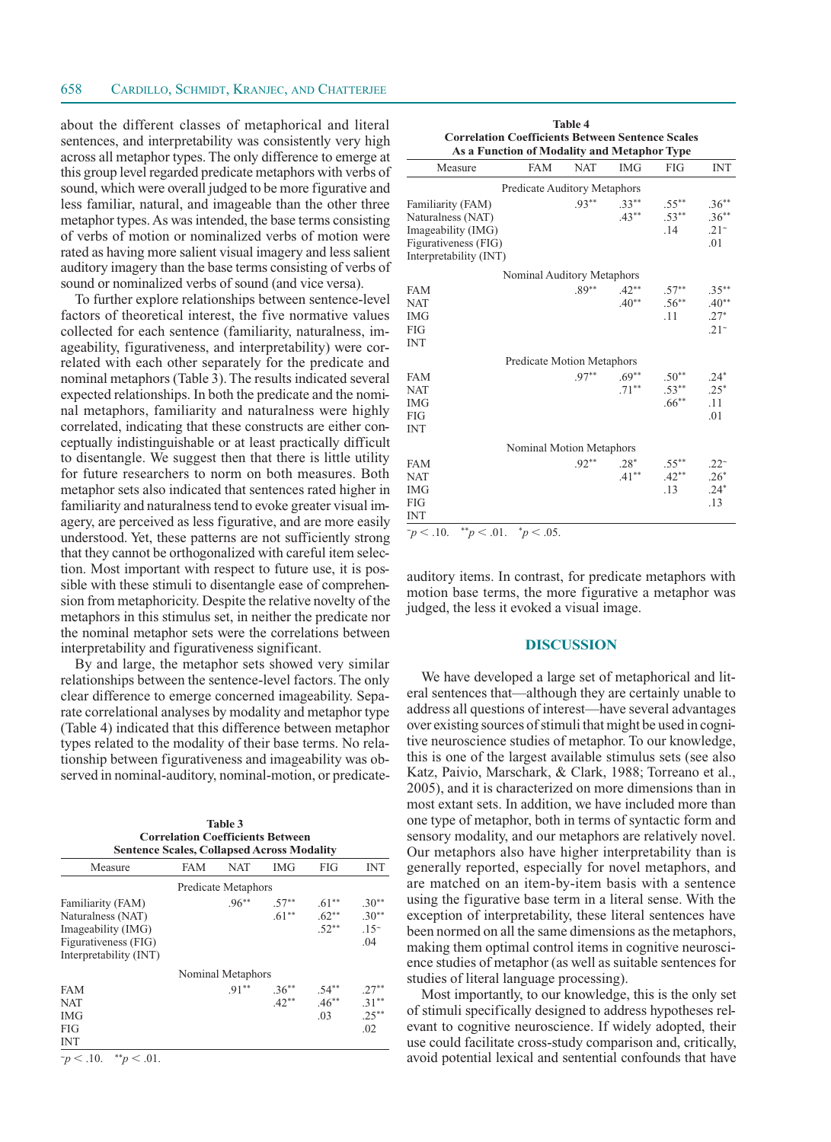about the different classes of metaphorical and literal sentences, and interpretability was consistently very high across all metaphor types. The only difference to emerge at this group level regarded predicate metaphors with verbs of sound, which were overall judged to be more figurative and less familiar, natural, and imageable than the other three metaphor types. As was intended, the base terms consisting of verbs of motion or nominalized verbs of motion were rated as having more salient visual imagery and less salient auditory imagery than the base terms consisting of verbs of sound or nominalized verbs of sound (and vice versa).

To further explore relationships between sentence-level factors of theoretical interest, the five normative values collected for each sentence (familiarity, naturalness, imageability, figurativeness, and interpretability) were correlated with each other separately for the predicate and nominal metaphors (Table 3). The results indicated several expected relationships. In both the predicate and the nominal metaphors, familiarity and naturalness were highly correlated, indicating that these constructs are either conceptually indistinguishable or at least practically difficult to disentangle. We suggest then that there is little utility for future researchers to norm on both measures. Both metaphor sets also indicated that sentences rated higher in familiarity and naturalness tend to evoke greater visual imagery, are perceived as less figurative, and are more easily understood. Yet, these patterns are not sufficiently strong that they cannot be orthogonalized with careful item selection. Most important with respect to future use, it is possible with these stimuli to disentangle ease of comprehension from metaphoricity. Despite the relative novelty of the metaphors in this stimulus set, in neither the predicate nor the nominal metaphor sets were the correlations between interpretability and figurativeness significant.

By and large, the metaphor sets showed very similar relationships between the sentence-level factors. The only clear difference to emerge concerned imageability. Separate correlational analyses by modality and metaphor type (Table 4) indicated that this difference between metaphor types related to the modality of their base terms. No relationship between figurativeness and imageability was observed in nominal-auditory, nominal-motion, or predicate-

| <b>Sentence Scales, Collapsed Across Modality</b>                                                              | <b>Correlation Coefficients Between</b> | <b>Table 3</b>      |                      |                                          |                                            |
|----------------------------------------------------------------------------------------------------------------|-----------------------------------------|---------------------|----------------------|------------------------------------------|--------------------------------------------|
| Measure                                                                                                        | FAM                                     | NAT                 | IMG                  | FIG                                      | <b>INT</b>                                 |
|                                                                                                                |                                         | Predicate Metaphors |                      |                                          |                                            |
| Familiarity (FAM)<br>Naturalness (NAT)<br>Imageability (IMG)<br>Figurativeness (FIG)<br>Interpretability (INT) |                                         | $.96***$            | $.57***$<br>$.61***$ | $.61**$<br>$.62***$<br>$.52***$          | $.30**$<br>$.30**$<br>$.15^{\circ}$<br>.04 |
|                                                                                                                |                                         | Nominal Metaphors   |                      |                                          |                                            |
| <b>FAM</b><br><b>NAT</b><br>IMG<br><b>FIG</b><br><b>INT</b><br>$**_{n}$ / 01                                   |                                         | $.91***$            | $.36***$<br>$.42***$ | $.54***$<br>$.46***$<br>.03 <sub>1</sub> | $.27**$<br>$.31***$<br>$.25***$<br>.02     |

|  |  | $\gamma p < .10.$ | $*_{p}$ < .01. |  |
|--|--|-------------------|----------------|--|
|--|--|-------------------|----------------|--|

**Table 4 Correlation Coefficients Between Sentence Scales As a Function of Modality and Metaphor Type**

| Measure                                                                                                        | <b>FAM</b>                   | <b>NAT</b> | <b>IMG</b>                        | <b>FIG</b>                           | <b>INT</b>                                             |
|----------------------------------------------------------------------------------------------------------------|------------------------------|------------|-----------------------------------|--------------------------------------|--------------------------------------------------------|
|                                                                                                                | Predicate Auditory Metaphors |            |                                   |                                      |                                                        |
| Familiarity (FAM)<br>Naturalness (NAT)<br>Imageability (IMG)<br>Figurativeness (FIG)<br>Interpretability (INT) |                              |            | $.93^{**}$ $.33^{**}$<br>$.43***$ | $.55***$<br>$.53***$<br>.14          | $.36***$<br>$.36***$<br>.21 <sup>2</sup><br>.01        |
|                                                                                                                | Nominal Auditory Metaphors   |            |                                   |                                      |                                                        |
| <b>FAM</b><br><b>NAT</b><br><b>IMG</b><br><b>FIG</b><br><b>INT</b>                                             |                              | $.89***$   | $.42***$<br>$.40***$              | $.57***$<br>$.56***$<br>.11          | $.35^{**}$<br>$.40^{**}$<br>$.27*$<br>.21 <sup>2</sup> |
|                                                                                                                | Predicate Motion Metaphors   |            |                                   |                                      |                                                        |
| <b>FAM</b><br><b>NAT</b><br><b>IMG</b><br><b>FIG</b><br><b>INT</b>                                             |                              |            | $.97^{**}$ $.69^{**}$<br>$.71***$ | $.50^{**}$<br>$.53^{**}$<br>$.66***$ | $.24*$<br>$.25*$<br>.11<br>.01                         |
|                                                                                                                | Nominal Motion Metaphors     |            |                                   |                                      |                                                        |
| <b>FAM</b><br><b>NAT</b><br><b>IMG</b><br><b>FIG</b><br><b>INT</b>                                             |                              |            | $.92^{**}$ $.28^*$<br>$.41***$    | $.55***$<br>$.42***$<br>$.13 -$      | $.22^{\circ}$<br>$.26*$<br>$.24*$<br>.13               |

 $\gamma p < .10$ . \*\* $p < .01$ . \* $p < .05$ .

auditory items. In contrast, for predicate metaphors with motion base terms, the more figurative a metaphor was judged, the less it evoked a visual image.

## **DISCUSSION**

We have developed a large set of metaphorical and literal sentences that—although they are certainly unable to address all questions of interest—have several advantages over existing sources of stimuli that might be used in cognitive neuroscience studies of metaphor. To our knowledge, this is one of the largest available stimulus sets (see also Katz, Paivio, Marschark, & Clark, 1988; Torreano et al., 2005), and it is characterized on more dimensions than in most extant sets. In addition, we have included more than one type of metaphor, both in terms of syntactic form and sensory modality, and our metaphors are relatively novel. Our metaphors also have higher interpretability than is generally reported, especially for novel metaphors, and are matched on an item-by-item basis with a sentence using the figurative base term in a literal sense. With the exception of interpretability, these literal sentences have been normed on all the same dimensions as the metaphors, making them optimal control items in cognitive neuroscience studies of metaphor (as well as suitable sentences for studies of literal language processing).

Most importantly, to our knowledge, this is the only set of stimuli specifically designed to address hypotheses relevant to cognitive neuroscience. If widely adopted, their use could facilitate cross-study comparison and, critically, avoid potential lexical and sentential confounds that have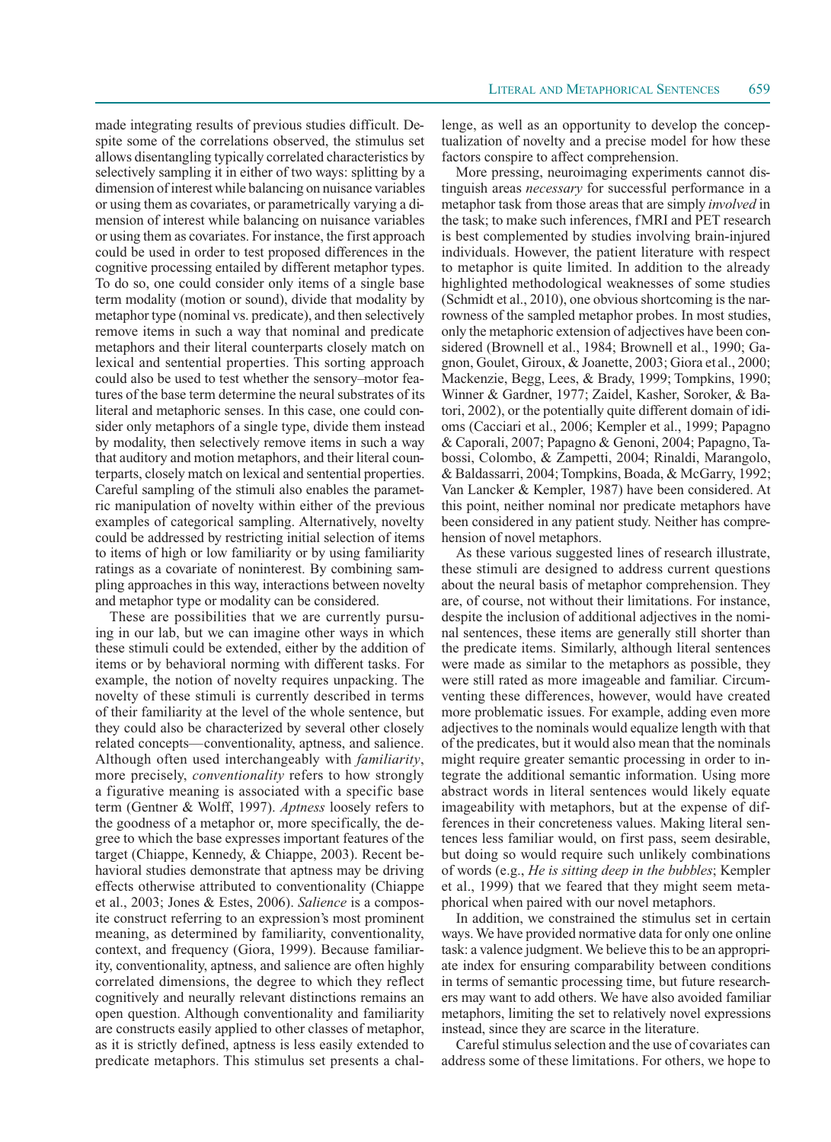made integrating results of previous studies difficult. Despite some of the correlations observed, the stimulus set allows disentangling typically correlated characteristics by selectively sampling it in either of two ways: splitting by a dimension of interest while balancing on nuisance variables or using them as covariates, or parametrically varying a dimension of interest while balancing on nuisance variables or using them as covariates. For instance, the first approach could be used in order to test proposed differences in the cognitive processing entailed by different metaphor types. To do so, one could consider only items of a single base term modality (motion or sound), divide that modality by metaphor type (nominal vs. predicate), and then selectively remove items in such a way that nominal and predicate metaphors and their literal counterparts closely match on lexical and sentential properties. This sorting approach could also be used to test whether the sensory–motor features of the base term determine the neural substrates of its literal and metaphoric senses. In this case, one could consider only metaphors of a single type, divide them instead by modality, then selectively remove items in such a way that auditory and motion metaphors, and their literal counterparts, closely match on lexical and sentential properties. Careful sampling of the stimuli also enables the parametric manipulation of novelty within either of the previous examples of categorical sampling. Alternatively, novelty could be addressed by restricting initial selection of items to items of high or low familiarity or by using familiarity ratings as a covariate of noninterest. By combining sampling approaches in this way, interactions between novelty and metaphor type or modality can be considered.

These are possibilities that we are currently pursuing in our lab, but we can imagine other ways in which these stimuli could be extended, either by the addition of items or by behavioral norming with different tasks. For example, the notion of novelty requires unpacking. The novelty of these stimuli is currently described in terms of their familiarity at the level of the whole sentence, but they could also be characterized by several other closely related concepts—conventionality, aptness, and salience. Although often used interchangeably with *familiarity*, more precisely, *conventionality* refers to how strongly a figurative meaning is associated with a specific base term (Gentner & Wolff, 1997). *Aptness* loosely refers to the goodness of a metaphor or, more specifically, the degree to which the base expresses important features of the target (Chiappe, Kennedy, & Chiappe, 2003). Recent behavioral studies demonstrate that aptness may be driving effects otherwise attributed to conventionality (Chiappe et al., 2003; Jones & Estes, 2006). *Salience* is a composite construct referring to an expression's most prominent meaning, as determined by familiarity, conventionality, context, and frequency (Giora, 1999). Because familiarity, conventionality, aptness, and salience are often highly correlated dimensions, the degree to which they reflect cognitively and neurally relevant distinctions remains an open question. Although conventionality and familiarity are constructs easily applied to other classes of metaphor, as it is strictly defined, aptness is less easily extended to predicate metaphors. This stimulus set presents a chal-

lenge, as well as an opportunity to develop the conceptualization of novelty and a precise model for how these factors conspire to affect comprehension.

More pressing, neuroimaging experiments cannot distinguish areas *necessary* for successful performance in a metaphor task from those areas that are simply *involved* in the task; to make such inferences, fMRI and PET research is best complemented by studies involving brain-injured individuals. However, the patient literature with respect to metaphor is quite limited. In addition to the already highlighted methodological weaknesses of some studies (Schmidt et al., 2010), one obvious shortcoming is the narrowness of the sampled metaphor probes. In most studies, only the metaphoric extension of adjectives have been considered (Brownell et al., 1984; Brownell et al., 1990; Gagnon, Goulet, Giroux, & Joanette, 2003; Giora et al., 2000; Mackenzie, Begg, Lees, & Brady, 1999; Tompkins, 1990; Winner & Gardner, 1977; Zaidel, Kasher, Soroker, & Batori, 2002), or the potentially quite different domain of idioms (Cacciari et al., 2006; Kempler et al., 1999; Papagno & Caporali, 2007; Papagno & Genoni, 2004; Papagno, Tabossi, Colombo, & Zampetti, 2004; Rinaldi, Marangolo, & Baldassarri, 2004; Tompkins, Boada, & McGarry, 1992; Van Lancker & Kempler, 1987) have been considered. At this point, neither nominal nor predicate metaphors have been considered in any patient study. Neither has comprehension of novel metaphors.

As these various suggested lines of research illustrate, these stimuli are designed to address current questions about the neural basis of metaphor comprehension. They are, of course, not without their limitations. For instance, despite the inclusion of additional adjectives in the nominal sentences, these items are generally still shorter than the predicate items. Similarly, although literal sentences were made as similar to the metaphors as possible, they were still rated as more imageable and familiar. Circumventing these differences, however, would have created more problematic issues. For example, adding even more adjectives to the nominals would equalize length with that of the predicates, but it would also mean that the nominals might require greater semantic processing in order to integrate the additional semantic information. Using more abstract words in literal sentences would likely equate imageability with metaphors, but at the expense of differences in their concreteness values. Making literal sentences less familiar would, on first pass, seem desirable, but doing so would require such unlikely combinations of words (e.g., *He is sitting deep in the bubbles*; Kempler et al., 1999) that we feared that they might seem metaphorical when paired with our novel metaphors.

In addition, we constrained the stimulus set in certain ways. We have provided normative data for only one online task: a valence judgment. We believe this to be an appropriate index for ensuring comparability between conditions in terms of semantic processing time, but future researchers may want to add others. We have also avoided familiar metaphors, limiting the set to relatively novel expressions instead, since they are scarce in the literature.

Careful stimulus selection and the use of covariates can address some of these limitations. For others, we hope to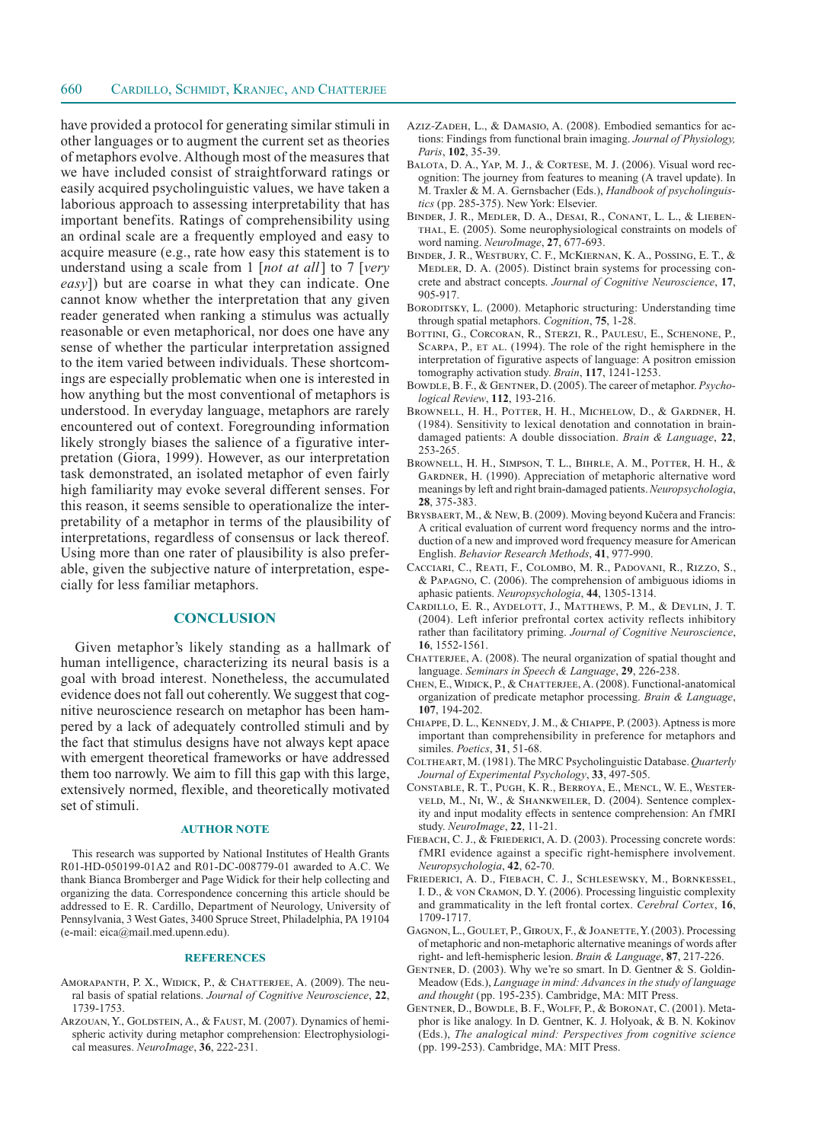have provided a protocol for generating similar stimuli in other languages or to augment the current set as theories of metaphors evolve. Although most of the measures that we have included consist of straightforward ratings or easily acquired psycholinguistic values, we have taken a laborious approach to assessing interpretability that has important benefits. Ratings of comprehensibility using an ordinal scale are a frequently employed and easy to acquire measure (e.g., rate how easy this statement is to understand using a scale from 1 [*not at all*] to 7 [*very easy*]) but are coarse in what they can indicate. One cannot know whether the interpretation that any given reader generated when ranking a stimulus was actually reasonable or even metaphorical, nor does one have any sense of whether the particular interpretation assigned to the item varied between individuals. These shortcomings are especially problematic when one is interested in how anything but the most conventional of metaphors is understood. In everyday language, metaphors are rarely encountered out of context. Foregrounding information likely strongly biases the salience of a figurative interpretation (Giora, 1999). However, as our interpretation task demonstrated, an isolated metaphor of even fairly high familiarity may evoke several different senses. For this reason, it seems sensible to operationalize the interpretability of a metaphor in terms of the plausibility of interpretations, regardless of consensus or lack thereof. Using more than one rater of plausibility is also preferable, given the subjective nature of interpretation, especially for less familiar metaphors.

# **CONCLUSION**

Given metaphor's likely standing as a hallmark of human intelligence, characterizing its neural basis is a goal with broad interest. Nonetheless, the accumulated evidence does not fall out coherently. We suggest that cognitive neuroscience research on metaphor has been hampered by a lack of adequately controlled stimuli and by the fact that stimulus designs have not always kept apace with emergent theoretical frameworks or have addressed them too narrowly. We aim to fill this gap with this large, extensively normed, flexible, and theoretically motivated set of stimuli.

#### **AUTHOR NOTE**

This research was supported by National Institutes of Health Grants R01-HD-050199-01A2 and R01-DC-008779-01 awarded to A.C. We thank Bianca Bromberger and Page Widick for their help collecting and organizing the data. Correspondence concerning this article should be addressed to E. R. Cardillo, Department of Neurology, University of Pennsylvania, 3 West Gates, 3400 Spruce Street, Philadelphia, PA 19104 (e-mail: eica@mail.med.upenn.edu).

## **REFERENCES**

- AMORAPANTH, P. X., WIDICK, P., & CHATTERJEE, A. (2009). The neural basis of spatial relations. *Journal of Cognitive Neuroscience*, **22**, 1739-1753.
- ARZOUAN, Y., GOLDSTEIN, A., & FAUST, M. (2007). Dynamics of hemispheric activity during metaphor comprehension: Electrophysiological measures. *NeuroImage*, **36**, 222-231.
- Aziz-Zadeh, L., & Damasio, A. (2008). Embodied semantics for actions: Findings from functional brain imaging. *Journal of Physiology, Paris*, **102**, 35-39.
- BALOTA, D. A., YAP, M. J., & CORTESE, M. J. (2006). Visual word recognition: The journey from features to meaning (A travel update). In M. Traxler & M. A. Gernsbacher (Eds.), *Handbook of psycholinguistics* (pp. 285-375). New York: Elsevier.
- Binder, J. R., Medler, D. A., Desai, R., Conant, L. L., & Lieben-THAL, E. (2005). Some neurophysiological constraints on models of word naming. *NeuroImage*, **27**, 677-693.
- Binder, J. R., Westbury, C. F., McKiernan, K. A., Possing, E. T., & MEDLER, D. A. (2005). Distinct brain systems for processing concrete and abstract concepts. *Journal of Cognitive Neuroscience*, **17**, 905-917.
- BORODITSKY, L. (2000). Metaphoric structuring: Understanding time through spatial metaphors. *Cognition*, **75**, 1-28.
- Bottini, G., Corcoran, R., Sterzi, R., Paulesu, E., Schenone, P., SCARPA, P., ET AL. (1994). The role of the right hemisphere in the interpretation of figurative aspects of language: A positron emission tomography activation study. *Brain*, **117**, 1241-1253.
- Bowdle, B. F., & Gentner, D. (2005). The career of metaphor. *Psychological Review*, **112**, 193-216.
- Brownell, H. H., Potter, H. H., Michelow, D., & Gardner, H. (1984). Sensitivity to lexical denotation and connotation in braindamaged patients: A double dissociation. *Brain & Language*, **22**, 253-265.
- Brownell, H. H., Simpson, T. L., Bihrle, A. M., Potter, H. H., & GARDNER, H. (1990). Appreciation of metaphoric alternative word meanings by left and right brain-damaged patients. *Neuropsychologia*, **28**, 375-383.
- BRYSBAERT, M., & NEW, B. (2009). Moving beyond Kučera and Francis: A critical evaluation of current word frequency norms and the introduction of a new and improved word frequency measure for American English. *Behavior Research Methods*, **41**, 977-990.
- Cacciari, C., Reati, F., Colombo, M. R., Padovani, R., Rizzo, S., & Papagno, C. (2006). The comprehension of ambiguous idioms in aphasic patients. *Neuropsychologia*, **44**, 1305-1314.
- Cardillo, E. R., Aydelott, J., Matthews, P. M., & Devlin, J. T. (2004). Left inferior prefrontal cortex activity reflects inhibitory rather than facilitatory priming. *Journal of Cognitive Neuroscience*, **16**, 1552-1561.
- CHATTERJEE, A. (2008). The neural organization of spatial thought and language. *Seminars in Speech & Language*, **29**, 226-238.
- CHEN, E., WIDICK, P., & CHATTERJEE, A. (2008). Functional-anatomical organization of predicate metaphor processing. *Brain & Language*, **107**, 194-202.
- Chiappe, D. L., Kennedy, J. M., & Chiappe, P. (2003). Aptness is more important than comprehensibility in preference for metaphors and similes. *Poetics*, **31**, 51-68.
- Coltheart, M. (1981). The MRC Psycholinguistic Database. *Quarterly Journal of Experimental Psychology*, **33**, 497-505.
- Constable, R. T., Pugh, K. R., Berroya, E., Mencl, W. E., Westerveld, M., Ni, W., & Shankweiler, D. (2004). Sentence complexity and input modality effects in sentence comprehension: An fMRI study. *NeuroImage*, **22**, 11-21.
- FIEBACH, C. J., & FRIEDERICI, A. D. (2003). Processing concrete words: fMRI evidence against a specific right-hemisphere involvement. *Neuropsychologia*, **42**, 62-70.
- Friederici, A. D., Fiebach, C. J., Schlesewsky, M., Bornkessel, I. D., & von Cramon, D. Y. (2006). Processing linguistic complexity and grammaticality in the left frontal cortex. *Cerebral Cortex*, **16**, 1709-1717.
- Gagnon, L., Goulet, P., Giroux, F., & Joanette, Y. (2003). Processing of metaphoric and non-metaphoric alternative meanings of words after right- and left-hemispheric lesion. *Brain & Language*, **87**, 217-226.
- Gentner, D. (2003). Why we're so smart. In D. Gentner & S. Goldin-Meadow (Eds.), *Language in mind: Advances in the study of language and thought* (pp. 195-235). Cambridge, MA: MIT Press.
- Gentner, D., Bowdle, B. F., Wolff, P., & Boronat, C. (2001). Metaphor is like analogy. In D. Gentner, K. J. Holyoak, & B. N. Kokinov (Eds.), *The analogical mind: Perspectives from cognitive science* (pp. 199-253). Cambridge, MA: MIT Press.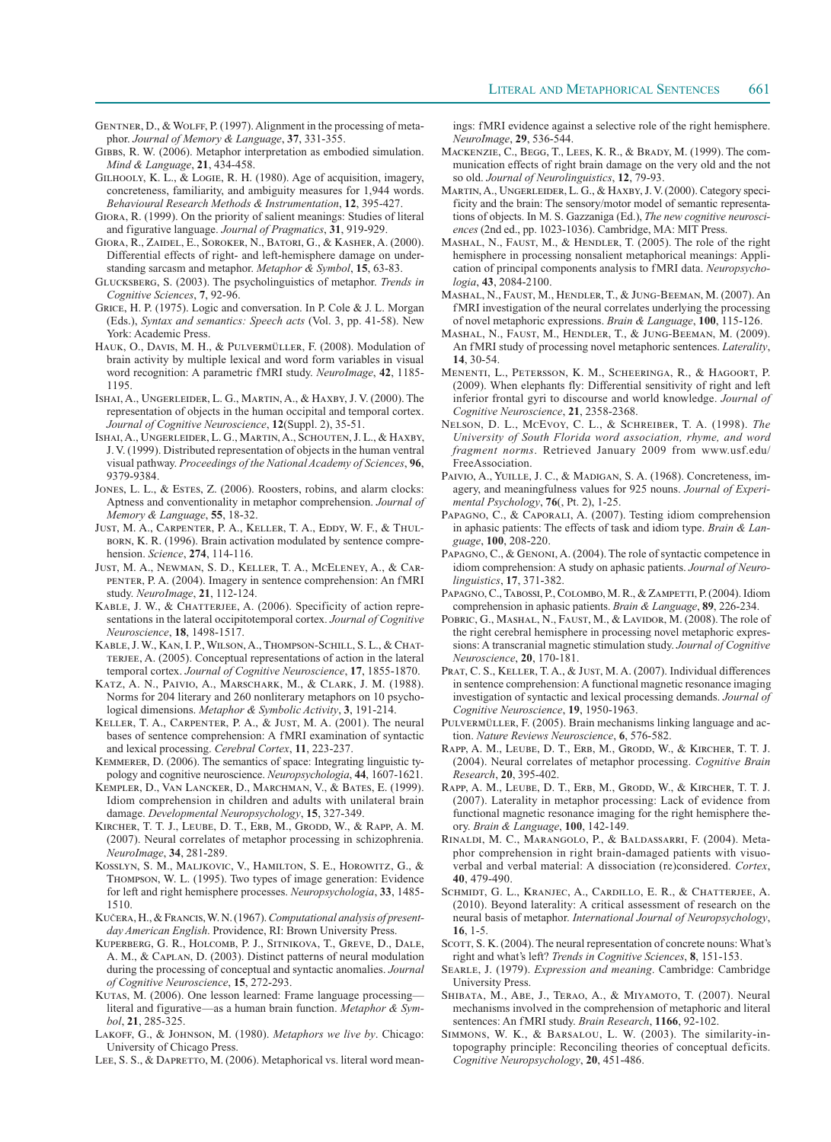- GENTNER, D., & WOLFF, P. (1997). Alignment in the processing of metaphor. *Journal of Memory & Language*, **37**, 331-355.
- GIBBS, R. W. (2006). Metaphor interpretation as embodied simulation. *Mind & Language*, **21**, 434-458.
- Gilhooly, K. L., & Logie, R. H. (1980). Age of acquisition, imagery, concreteness, familiarity, and ambiguity measures for 1,944 words. *Behavioural Research Methods & Instrumentation*, **12**, 395-427.
- Giora, R. (1999). On the priority of salient meanings: Studies of literal and figurative language. *Journal of Pragmatics*, **31**, 919-929.
- Giora, R., Zaidel, E., Soroker, N., Batori, G., & Kasher, A. (2000). Differential effects of right- and left-hemisphere damage on understanding sarcasm and metaphor. *Metaphor & Symbol*, **15**, 63-83.
- Glucksberg, S. (2003). The psycholinguistics of metaphor. *Trends in Cognitive Sciences*, **7**, 92-96.
- Grice, H. P. (1975). Logic and conversation. In P. Cole & J. L. Morgan (Eds.), *Syntax and semantics: Speech acts* (Vol. 3, pp. 41-58). New York: Academic Press.
- Hauk, O., Davis, M. H., & Pulvermüller, F. (2008). Modulation of brain activity by multiple lexical and word form variables in visual word recognition: A parametric fMRI study. *NeuroImage*, **42**, 1185- 1195.
- Ishai, A., Ungerleider, L. G., Martin, A., & Haxby, J. V. (2000). The representation of objects in the human occipital and temporal cortex. *Journal of Cognitive Neuroscience*, **12**(Suppl. 2), 35-51.
- Ishai, A., Ungerleider, L. G., Martin, A., Schouten, J. L., & Haxby, J.V. (1999). Distributed representation of objects in the human ventral visual pathway. *Proceedings of the National Academy of Sciences*, **96**, 9379-9384.
- Jones, L. L., & Estes, Z. (2006). Roosters, robins, and alarm clocks: Aptness and conventionality in metaphor comprehension. *Journal of Memory & Language*, **55**, 18-32.
- Just, M. A., Carpenter, P. A., Keller, T. A., Eddy, W. F., & Thulborn, K. R. (1996). Brain activation modulated by sentence comprehension. *Science*, **274**, 114-116.
- Just, M. A., Newman, S. D., Keller, T. A., McEleney, A., & Carpenter, P. A. (2004). Imagery in sentence comprehension: An fMRI study. *NeuroImage*, **21**, 112-124.
- KABLE, J. W., & CHATTERJEE, A. (2006). Specificity of action representations in the lateral occipitotemporal cortex. *Journal of Cognitive Neuroscience*, **18**, 1498-1517.
- Kable, J. W., Kan, I. P., Wilson, A., Thompson-Schill, S. L., & Chat-TERJEE, A. (2005). Conceptual representations of action in the lateral temporal cortex. *Journal of Cognitive Neuroscience*, **17**, 1855-1870.
- Katz, A. N., Paivio, A., Marschark, M., & Clark, J. M. (1988). Norms for 204 literary and 260 nonliterary metaphors on 10 psychological dimensions. *Metaphor & Symbolic Activity*, **3**, 191-214.
- Keller, T. A., Carpenter, P. A., & Just, M. A. (2001). The neural bases of sentence comprehension: A fMRI examination of syntactic and lexical processing. *Cerebral Cortex*, **11**, 223-237.
- Kemmerer, D. (2006). The semantics of space: Integrating linguistic typology and cognitive neuroscience. *Neuropsychologia*, **44**, 1607-1621.
- Kempler, D., Van Lancker, D., Marchman, V., & Bates, E. (1999). Idiom comprehension in children and adults with unilateral brain damage. *Developmental Neuropsychology*, **15**, 327-349.
- Kircher, T. T. J., Leube, D. T., Erb, M., Grodd, W., & Rapp, A. M. (2007). Neural correlates of metaphor processing in schizophrenia. *NeuroImage*, **34**, 281-289.
- Kosslyn, S. M., Maljkovic, V., Hamilton, S. E., Horowitz, G., & Thompson, W. L. (1995). Two types of image generation: Evidence for left and right hemisphere processes. *Neuropsychologia*, **33**, 1485- 1510.
- KUČERA, H., & FRANCIS, W. N. (1967). *Computational analysis of presentday American English*. Providence, RI: Brown University Press.
- Kuperberg, G. R., Holcomb, P. J., Sitnikova, T., Greve, D., Dale, A. M., & Caplan, D. (2003). Distinct patterns of neural modulation during the processing of conceptual and syntactic anomalies. *Journal of Cognitive Neuroscience*, **15**, 272-293.
- KUTAS, M. (2006). One lesson learned: Frame language processingliteral and figurative—as a human brain function. *Metaphor & Symbol*, **21**, 285-325.
- Lakoff, G., & Johnson, M. (1980). *Metaphors we live by*. Chicago: University of Chicago Press.
- LEE, S. S., & DAPRETTO, M. (2006). Metaphorical vs. literal word mean-

ings: fMRI evidence against a selective role of the right hemisphere. *NeuroImage*, **29**, 536-544.

- Mackenzie, C., Begg, T., Lees, K. R., & Brady, M. (1999). The communication effects of right brain damage on the very old and the not so old. *Journal of Neurolinguistics*, **12**, 79-93.
- Martin, A., Ungerleider, L. G., & Haxby, J. V. (2000). Category specificity and the brain: The sensory/motor model of semantic representations of objects. In M. S. Gazzaniga (Ed.), *The new cognitive neurosciences* (2nd ed., pp. 1023-1036). Cambridge, MA: MIT Press.
- Mashal, N., Faust, M., & Hendler, T. (2005). The role of the right hemisphere in processing nonsalient metaphorical meanings: Application of principal components analysis to fMRI data. *Neuropsychologia*, **43**, 2084-2100.
- Mashal, N., Faust, M., Hendler, T., & Jung-Beeman, M. (2007). An fMRI investigation of the neural correlates underlying the processing of novel metaphoric expressions. *Brain & Language*, **100**, 115-126.
- Mashal, N., Faust, M., Hendler, T., & Jung-Beeman, M. (2009). An fMRI study of processing novel metaphoric sentences. *Laterality*, **14**, 30-54.
- Menenti, L., Petersson, K. M., Scheeringa, R., & Hagoort, P. (2009). When elephants fly: Differential sensitivity of right and left inferior frontal gyri to discourse and world knowledge. *Journal of Cognitive Neuroscience*, **21**, 2358-2368.
- Nelson, D. L., McEvoy, C. L., & Schreiber, T. A. (1998). *The University of South Florida word association, rhyme, and word fragment norms*. Retrieved January 2009 from www.usf.edu/ FreeAssociation.
- PAIVIO, A., YUILLE, J. C., & MADIGAN, S. A. (1968). Concreteness, imagery, and meaningfulness values for 925 nouns. *Journal of Experimental Psychology*, **76**(, Pt. 2), 1-25.
- PAPAGNO, C., & CAPORALI, A. (2007). Testing idiom comprehension in aphasic patients: The effects of task and idiom type. *Brain & Language*, **100**, 208-220.
- PAPAGNO, C., & GENONI, A. (2004). The role of syntactic competence in idiom comprehension: A study on aphasic patients. *Journal of Neurolinguistics*, **17**, 371-382.
- PAPAGNO, C., TABOSSI, P., COLOMBO, M. R., & ZAMPETTI, P. (2004). Idiom comprehension in aphasic patients. *Brain & Language*, **89**, 226-234.
- POBRIC, G., MASHAL, N., FAUST, M., & LAVIDOR, M. (2008). The role of the right cerebral hemisphere in processing novel metaphoric expressions: A transcranial magnetic stimulation study. *Journal of Cognitive Neuroscience*, **20**, 170-181.
- PRAT, C. S., KELLER, T. A., & JUST, M. A. (2007). Individual differences in sentence comprehension: A functional magnetic resonance imaging investigation of syntactic and lexical processing demands. *Journal of Cognitive Neuroscience*, **19**, 1950-1963.
- PULVERMÜLLER, F. (2005). Brain mechanisms linking language and action. *Nature Reviews Neuroscience*, **6**, 576-582.
- Rapp, A. M., Leube, D. T., Erb, M., Grodd, W., & Kircher, T. T. J. (2004). Neural correlates of metaphor processing. *Cognitive Brain Research*, **20**, 395-402.
- Rapp, A. M., Leube, D. T., Erb, M., Grodd, W., & Kircher, T. T. J. (2007). Laterality in metaphor processing: Lack of evidence from functional magnetic resonance imaging for the right hemisphere theory. *Brain & Language*, **100**, 142-149.
- Rinaldi, M. C., Marangolo, P., & Baldassarri, F. (2004). Metaphor comprehension in right brain-damaged patients with visuoverbal and verbal material: A dissociation (re)considered. *Cortex*, **40**, 479-490.
- Schmidt, G. L., Kranjec, A., Cardillo, E. R., & Chatterjee, A. (2010). Beyond laterality: A critical assessment of research on the neural basis of metaphor. *International Journal of Neuropsychology*, **16**, 1-5.
- SCOTT, S. K. (2004). The neural representation of concrete nouns: What's right and what's left? *Trends in Cognitive Sciences*, **8**, 151-153.
- Searle, J. (1979). *Expression and meaning*. Cambridge: Cambridge University Press.
- Shibata, M., Abe, J., Terao, A., & Miyamoto, T. (2007). Neural mechanisms involved in the comprehension of metaphoric and literal sentences: An fMRI study. *Brain Research*, **1166**, 92-102.
- Simmons, W. K., & Barsalou, L. W. (2003). The similarity-intopography principle: Reconciling theories of conceptual deficits. *Cognitive Neuropsychology*, **20**, 451-486.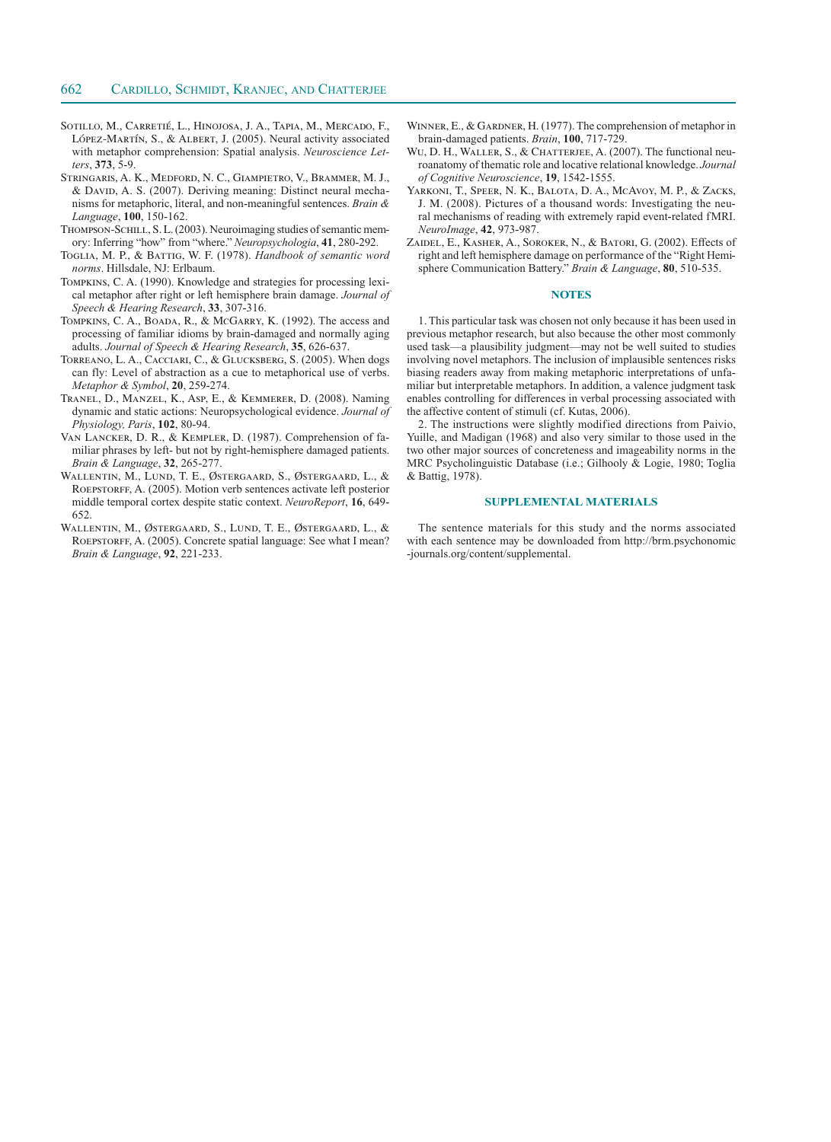- SOTILLO, M., CARRETIÉ, L., HINOJOSA, J. A., TAPIA, M., MERCADO, F., López-Martín, S., & Albert, J. (2005). Neural activity associated with metaphor comprehension: Spatial analysis. *Neuroscience Letters*, **373**, 5-9.
- Stringaris, A. K., Medford, N. C., Giampietro, V., Brammer, M. J., & David, A. S. (2007). Deriving meaning: Distinct neural mechanisms for metaphoric, literal, and non-meaningful sentences. *Brain & Language*, **100**, 150-162.
- THOMPSON-SCHILL, S. L. (2003). Neuroimaging studies of semantic memory: Inferring "how" from "where." *Neuropsychologia*, **41**, 280-292.
- Toglia, M. P., & Battig, W. F. (1978). *Handbook of semantic word norms*. Hillsdale, NJ: Erlbaum.
- Tompkins, C. A. (1990). Knowledge and strategies for processing lexical metaphor after right or left hemisphere brain damage. *Journal of Speech & Hearing Research*, **33**, 307-316.
- Tompkins, C. A., Boada, R., & McGarry, K. (1992). The access and processing of familiar idioms by brain-damaged and normally aging adults. *Journal of Speech & Hearing Research*, **35**, 626-637.
- Torreano, L. A., Cacciari, C., & Glucksberg, S. (2005). When dogs can fly: Level of abstraction as a cue to metaphorical use of verbs. *Metaphor & Symbol*, **20**, 259-274.
- Tranel, D., Manzel, K., Asp, E., & Kemmerer, D. (2008). Naming dynamic and static actions: Neuropsychological evidence. *Journal of Physiology, Paris*, **102**, 80-94.
- Van Lancker, D. R., & Kempler, D. (1987). Comprehension of familiar phrases by left- but not by right-hemisphere damaged patients. *Brain & Language*, **32**, 265-277.
- Wallentin, M., Lund, T. E., Østergaard, S., Østergaard, L., & ROEPSTORFF, A. (2005). Motion verb sentences activate left posterior middle temporal cortex despite static context. *NeuroReport*, **16**, 649- 652.
- Wallentin, M., Østergaard, S., Lund, T. E., Østergaard, L., & ROEPSTORFF, A. (2005). Concrete spatial language: See what I mean? *Brain & Language*, **92**, 221-233.
- WINNER, E., & GARDNER, H. (1977). The comprehension of metaphor in brain-damaged patients. *Brain*, **100**, 717-729.
- WU, D. H., WALLER, S., & CHATTERJEE, A. (2007). The functional neuroanatomy of thematic role and locative relational knowledge. *Journal of Cognitive Neuroscience*, **19**, 1542-1555.
- YARKONI, T., SPEER, N. K., BALOTA, D. A., MCAVOY, M. P., & ZACKS, J. M. (2008). Pictures of a thousand words: Investigating the neural mechanisms of reading with extremely rapid event-related fMRI. *NeuroImage*, **42**, 973-987.
- Zaidel, E., Kasher, A., Soroker, N., & Batori, G. (2002). Effects of right and left hemisphere damage on performance of the "Right Hemisphere Communication Battery." *Brain & Language*, **80**, 510-535.

#### **NOTES**

1. This particular task was chosen not only because it has been used in previous metaphor research, but also because the other most commonly used task—a plausibility judgment—may not be well suited to studies involving novel metaphors. The inclusion of implausible sentences risks biasing readers away from making metaphoric interpretations of unfamiliar but interpretable metaphors. In addition, a valence judgment task enables controlling for differences in verbal processing associated with the affective content of stimuli (cf. Kutas, 2006).

2. The instructions were slightly modified directions from Paivio, Yuille, and Madigan (1968) and also very similar to those used in the two other major sources of concreteness and imageability norms in the MRC Psycholinguistic Database (i.e.; Gilhooly & Logie, 1980; Toglia & Battig, 1978).

#### **SUPPLEMENTAL MATERIALS**

The sentence materials for this study and the norms associated with each sentence may be downloaded from http://brm.psychonomic -journals.org/content/supplemental.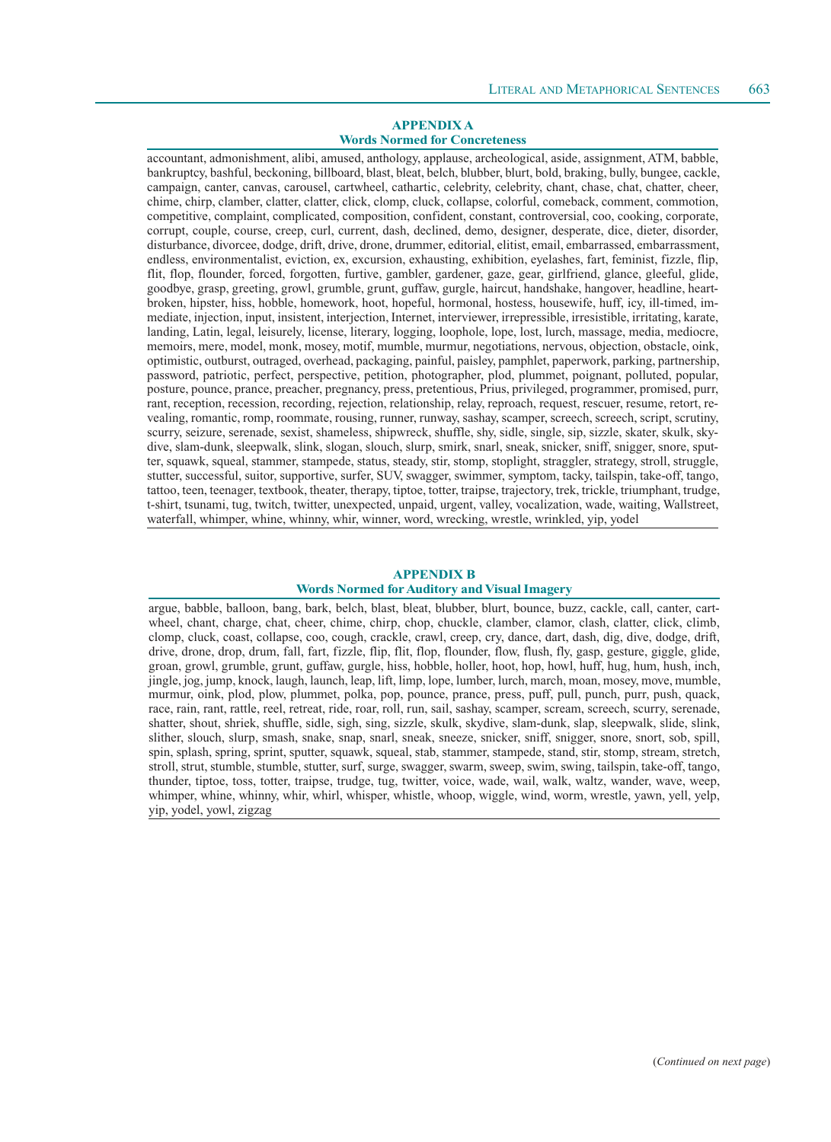## **APPENDIX A Words Normed for Concreteness**

accountant, admonishment, alibi, amused, anthology, applause, archeological, aside, assignment, ATM, babble, bankruptcy, bashful, beckoning, billboard, blast, bleat, belch, blubber, blurt, bold, braking, bully, bungee, cackle, campaign, canter, canvas, carousel, cartwheel, cathartic, celebrity, celebrity, chant, chase, chat, chatter, cheer, chime, chirp, clamber, clatter, clatter, click, clomp, cluck, collapse, colorful, comeback, comment, commotion, competitive, complaint, complicated, composition, confident, constant, controversial, coo, cooking, corporate, corrupt, couple, course, creep, curl, current, dash, declined, demo, designer, desperate, dice, dieter, disorder, disturbance, divorcee, dodge, drift, drive, drone, drummer, editorial, elitist, email, embarrassed, embarrassment, endless, environmentalist, eviction, ex, excursion, exhausting, exhibition, eyelashes, fart, feminist, fizzle, flip, flit, flop, flounder, forced, forgotten, furtive, gambler, gardener, gaze, gear, girlfriend, glance, gleeful, glide, goodbye, grasp, greeting, growl, grumble, grunt, guffaw, gurgle, haircut, handshake, hangover, headline, heartbroken, hipster, hiss, hobble, homework, hoot, hopeful, hormonal, hostess, housewife, huff, icy, ill-timed, immediate, injection, input, insistent, interjection, Internet, interviewer, irrepressible, irresistible, irritating, karate, landing, Latin, legal, leisurely, license, literary, logging, loophole, lope, lost, lurch, massage, media, mediocre, memoirs, mere, model, monk, mosey, motif, mumble, murmur, negotiations, nervous, objection, obstacle, oink, optimistic, outburst, outraged, overhead, packaging, painful, paisley, pamphlet, paperwork, parking, partnership, password, patriotic, perfect, perspective, petition, photographer, plod, plummet, poignant, polluted, popular, posture, pounce, prance, preacher, pregnancy, press, pretentious, Prius, privileged, programmer, promised, purr, rant, reception, recession, recording, rejection, relationship, relay, reproach, request, rescuer, resume, retort, revealing, romantic, romp, roommate, rousing, runner, runway, sashay, scamper, screech, screech, script, scrutiny, scurry, seizure, serenade, sexist, shameless, shipwreck, shuffle, shy, sidle, single, sip, sizzle, skater, skulk, skydive, slam-dunk, sleepwalk, slink, slogan, slouch, slurp, smirk, snarl, sneak, snicker, sniff, snigger, snore, sputter, squawk, squeal, stammer, stampede, status, steady, stir, stomp, stoplight, straggler, strategy, stroll, struggle, stutter, successful, suitor, supportive, surfer, SUV, swagger, swimmer, symptom, tacky, tailspin, take-off, tango, tattoo, teen, teenager, textbook, theater, therapy, tiptoe, totter, traipse, trajectory, trek, trickle, triumphant, trudge, t-shirt, tsunami, tug, twitch, twitter, unexpected, unpaid, urgent, valley, vocalization, wade, waiting, Wallstreet, waterfall, whimper, whine, whinny, whir, winner, word, wrecking, wrestle, wrinkled, yip, yodel

# **APPENDIX B Words Normed for Auditory and Visual Imagery**

argue, babble, balloon, bang, bark, belch, blast, bleat, blubber, blurt, bounce, buzz, cackle, call, canter, cartwheel, chant, charge, chat, cheer, chime, chirp, chop, chuckle, clamber, clamor, clash, clatter, click, climb, clomp, cluck, coast, collapse, coo, cough, crackle, crawl, creep, cry, dance, dart, dash, dig, dive, dodge, drift, drive, drone, drop, drum, fall, fart, fizzle, flip, flit, flop, flounder, flow, flush, fly, gasp, gesture, giggle, glide, groan, growl, grumble, grunt, guffaw, gurgle, hiss, hobble, holler, hoot, hop, howl, huff, hug, hum, hush, inch, jingle, jog, jump, knock, laugh, launch, leap, lift, limp, lope, lumber, lurch, march, moan, mosey, move, mumble, murmur, oink, plod, plow, plummet, polka, pop, pounce, prance, press, puff, pull, punch, purr, push, quack, race, rain, rant, rattle, reel, retreat, ride, roar, roll, run, sail, sashay, scamper, scream, screech, scurry, serenade, shatter, shout, shriek, shuffle, sidle, sigh, sing, sizzle, skulk, skydive, slam-dunk, slap, sleepwalk, slide, slink, slither, slouch, slurp, smash, snake, snap, snarl, sneak, sneeze, snicker, sniff, snigger, snore, snort, sob, spill, spin, splash, spring, sprint, sputter, squawk, squeal, stab, stammer, stampede, stand, stir, stomp, stream, stretch, stroll, strut, stumble, stumble, stutter, surf, surge, swagger, swarm, sweep, swim, swing, tailspin, take-off, tango, thunder, tiptoe, toss, totter, traipse, trudge, tug, twitter, voice, wade, wail, walk, waltz, wander, wave, weep, whimper, whine, whinny, whir, whirl, whisper, whistle, whoop, wiggle, wind, worm, wrestle, yawn, yell, yelp, yip, yodel, yowl, zigzag